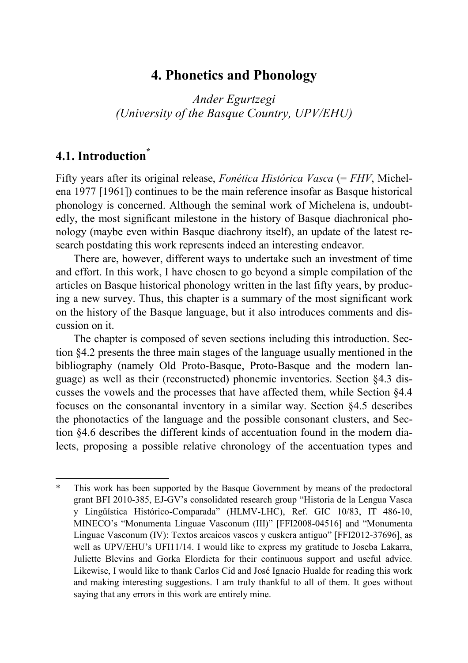# **4. Phonetics and Phonology**

*Ander Egurtzegi (University of the Basque Country, UPV/EHU)* 

# **4.1. Introduction\***

 $\overline{a}$ 

Fifty years after its original release, *Fonética Histórica Vasca* (= *FHV*, Michelena 1977 [1961]) continues to be the main reference insofar as Basque historical phonology is concerned. Although the seminal work of Michelena is, undoubtedly, the most significant milestone in the history of Basque diachronical phonology (maybe even within Basque diachrony itself), an update of the latest research postdating this work represents indeed an interesting endeavor.

There are, however, different ways to undertake such an investment of time and effort. In this work, I have chosen to go beyond a simple compilation of the articles on Basque historical phonology written in the last fifty years, by producing a new survey. Thus, this chapter is a summary of the most significant work on the history of the Basque language, but it also introduces comments and discussion on it.

The chapter is composed of seven sections including this introduction. Section §4.2 presents the three main stages of the language usually mentioned in the bibliography (namely Old Proto-Basque, Proto-Basque and the modern language) as well as their (reconstructed) phonemic inventories. Section §4.3 discusses the vowels and the processes that have affected them, while Section §4.4 focuses on the consonantal inventory in a similar way. Section §4.5 describes the phonotactics of the language and the possible consonant clusters, and Section §4.6 describes the different kinds of accentuation found in the modern dialects, proposing a possible relative chronology of the accentuation types and

<sup>\*</sup> This work has been supported by the Basque Government by means of the predoctoral grant BFI 2010-385, EJ-GV's consolidated research group "Historia de la Lengua Vasca y Lingüística Histórico-Comparada" (HLMV-LHC), Ref. GIC 10/83, IT 486-10, MINECO's "Monumenta Linguae Vasconum (III)" [FFI2008-04516] and "Monumenta Linguae Vasconum (IV): Textos arcaicos vascos y euskera antiguo" [FFI2012-37696], as well as UPV/EHU's UFI11/14. I would like to express my gratitude to Joseba Lakarra, Juliette Blevins and Gorka Elordieta for their continuous support and useful advice. Likewise, I would like to thank Carlos Cid and José Ignacio Hualde for reading this work and making interesting suggestions. I am truly thankful to all of them. It goes without saying that any errors in this work are entirely mine.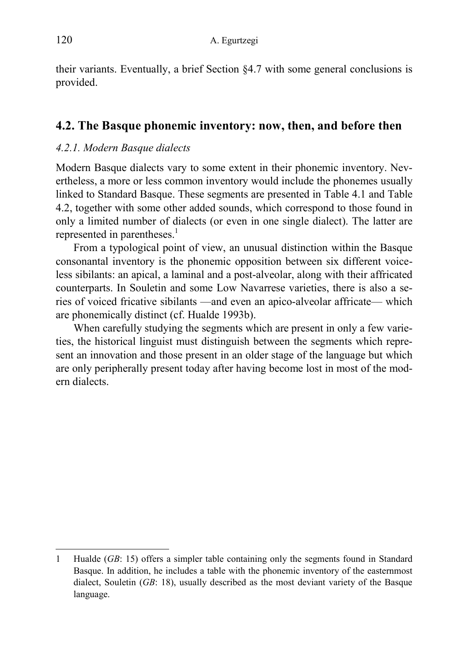their variants. Eventually, a brief Section §4.7 with some general conclusions is provided.

# **4.2. The Basque phonemic inventory: now, then, and before then**

### *4.2.1. Modern Basque dialects*

Modern Basque dialects vary to some extent in their phonemic inventory. Nevertheless, a more or less common inventory would include the phonemes usually linked to Standard Basque. These segments are presented in Table 4.1 and Table 4.2, together with some other added sounds, which correspond to those found in only a limited number of dialects (or even in one single dialect). The latter are represented in parentheses. $\frac{1}{1}$ 

From a typological point of view, an unusual distinction within the Basque consonantal inventory is the phonemic opposition between six different voiceless sibilants: an apical, a laminal and a post-alveolar, along with their affricated counterparts. In Souletin and some Low Navarrese varieties, there is also a series of voiced fricative sibilants —and even an apico-alveolar affricate— which are phonemically distinct (cf. Hualde 1993b).

When carefully studying the segments which are present in only a few varieties, the historical linguist must distinguish between the segments which represent an innovation and those present in an older stage of the language but which are only peripherally present today after having become lost in most of the modern dialects.

<sup>1</sup> Hualde (*GB*: 15) offers a simpler table containing only the segments found in Standard Basque. In addition, he includes a table with the phonemic inventory of the easternmost dialect, Souletin (*GB*: 18), usually described as the most deviant variety of the Basque language.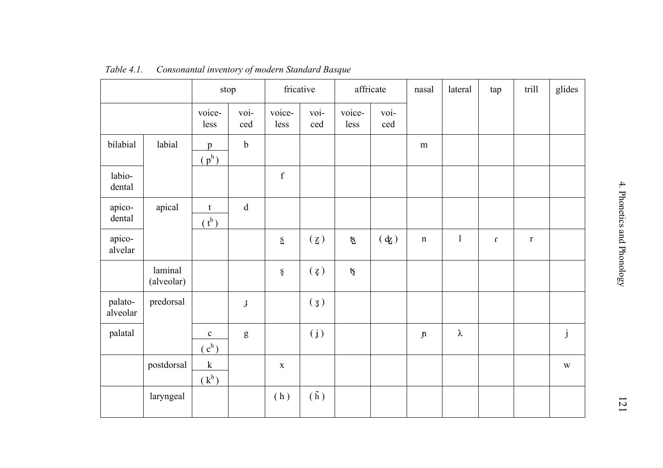| Table 4.1.          |                       |                |             | Consonantal inventory of modern Standard Basque |                     |                |              |                |              |                       |             |                         |
|---------------------|-----------------------|----------------|-------------|-------------------------------------------------|---------------------|----------------|--------------|----------------|--------------|-----------------------|-------------|-------------------------|
|                     |                       |                | stop        | fricative                                       |                     | affricate      |              | nasal          | lateral      | tap                   | trill       | glides                  |
|                     |                       | voice-<br>less | voi-<br>ced | voice-<br>less                                  | voi-<br>ced         | voice-<br>less | voi-<br>ced  |                |              |                       |             |                         |
| bilabial            | labial                | p<br>$(p^h)$   | $\mathbf b$ |                                                 |                     |                |              | ${\bf m}$      |              |                       |             |                         |
| labio-<br>dental    |                       |                |             | $\mathbf f$                                     |                     |                |              |                |              |                       |             |                         |
| apico-              | apical                | $\mathbf t$    | $\rm d$     |                                                 |                     |                |              |                |              |                       |             |                         |
| dental              |                       | $(t^h)$        |             |                                                 |                     |                |              |                |              |                       |             |                         |
| apico-<br>alvelar   |                       |                |             | $\mathbf S$                                     | $(\mathbf{z})$      | f2             | $(\,d\!f\,)$ | $\mathbf n$    | $\mathbf{1}$ | $\boldsymbol{\Gamma}$ | $\mathbf r$ |                         |
|                     | laminal<br>(alveolar) |                |             | ş                                               | ( $\underline{z}$ ) | ţ              |              |                |              |                       |             |                         |
| palato-<br>alveolar | predorsal             |                | $\bf J$     |                                                 | (3)                 |                |              |                |              |                       |             |                         |
| palatal             |                       | $\mathbf{C}$   | g           |                                                 | (i)                 |                |              | $\mathfrak{p}$ | $\lambda$    |                       |             | $\mathbf{j}$            |
|                     |                       | $c^h$ )        |             |                                                 |                     |                |              |                |              |                       |             |                         |
|                     | postdorsal            | ${\bf k}$      |             | $\mathbf X$                                     |                     |                |              |                |              |                       |             | $\ensuremath{\text{W}}$ |
|                     |                       | $(k^h)$        |             |                                                 |                     |                |              |                |              |                       |             |                         |
|                     | laryngeal             |                |             | (h)                                             | $(\tilde{h})$       |                |              |                |              |                       |             |                         |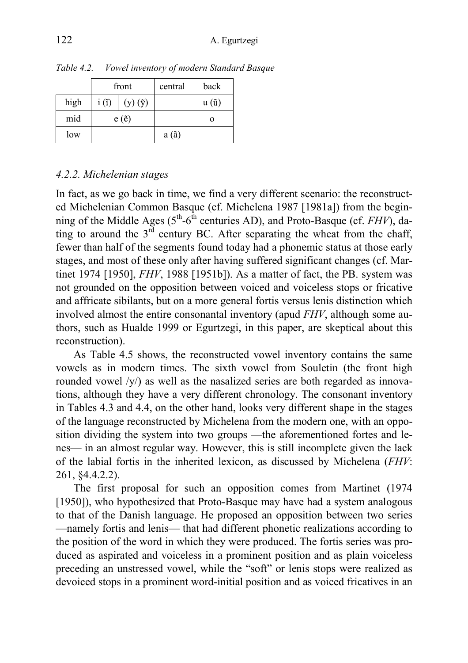|      |      | front            | central        | back           |
|------|------|------------------|----------------|----------------|
| high | i(1) | $(y)(\tilde{y})$ |                | $u(\tilde{u})$ |
| mid  |      | $e(\tilde{e})$   |                |                |
| low  |      |                  | $a(\tilde{a})$ |                |

*Table 4.2. Vowel inventory of modern Standard Basque* 

# *4.2.2. Michelenian stages*

In fact, as we go back in time, we find a very different scenario: the reconstructed Michelenian Common Basque (cf. Michelena 1987 [1981a]) from the beginning of the Middle Ages ( $5<sup>th</sup>-6<sup>th</sup>$  centuries AD), and Proto-Basque (cf. *FHV*), dating to around the  $3<sup>rd</sup>$  century BC. After separating the wheat from the chaff, fewer than half of the segments found today had a phonemic status at those early stages, and most of these only after having suffered significant changes (cf. Martinet 1974 [1950], *FHV*, 1988 [1951b]). As a matter of fact, the PB. system was not grounded on the opposition between voiced and voiceless stops or fricative and affricate sibilants, but on a more general fortis versus lenis distinction which involved almost the entire consonantal inventory (apud *FHV*, although some authors, such as Hualde 1999 or Egurtzegi, in this paper, are skeptical about this reconstruction).

As Table 4.5 shows, the reconstructed vowel inventory contains the same vowels as in modern times. The sixth vowel from Souletin (the front high rounded vowel /y/) as well as the nasalized series are both regarded as innovations, although they have a very different chronology. The consonant inventory in Tables 4.3 and 4.4, on the other hand, looks very different shape in the stages of the language reconstructed by Michelena from the modern one, with an opposition dividing the system into two groups —the aforementioned fortes and lenes— in an almost regular way. However, this is still incomplete given the lack of the labial fortis in the inherited lexicon, as discussed by Michelena (*FHV*: 261, §4.4.2.2).

The first proposal for such an opposition comes from Martinet (1974 [1950]), who hypothesized that Proto-Basque may have had a system analogous to that of the Danish language. He proposed an opposition between two series —namely fortis and lenis— that had different phonetic realizations according to the position of the word in which they were produced. The fortis series was produced as aspirated and voiceless in a prominent position and as plain voiceless preceding an unstressed vowel, while the "soft" or lenis stops were realized as devoiced stops in a prominent word-initial position and as voiced fricatives in an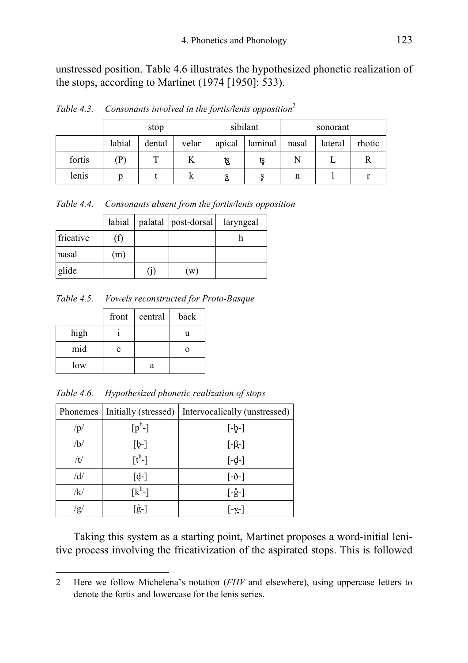unstressed position. Table 4.6 illustrates the hypothesized phonetic realization of the stops, according to Martinet (1974 [1950]: 533).

|        |        | sibilant<br>stop |       |        |         | sonorant |         |        |
|--------|--------|------------------|-------|--------|---------|----------|---------|--------|
|        | labial | dental           | velar | apical | laminal | nasal    | lateral | rhotic |
| fortis | (P)    |                  | V     | t2     | ទ្ទ     | N        |         |        |
| lenis  | n      |                  |       |        | ş       | n        |         |        |

*Table 4.3. Consonants involved in the fortis/lenis opposition*<sup>2</sup>

| Consonants absent from the fortis/lenis opposition | Table 4.4. |  |  |  |  |  |  |
|----------------------------------------------------|------------|--|--|--|--|--|--|
|----------------------------------------------------|------------|--|--|--|--|--|--|

|           | labial |     | palatal   post-dorsal   laryngeal |  |
|-----------|--------|-----|-----------------------------------|--|
| fricative | (f)    |     |                                   |  |
| nasal     | (m)    |     |                                   |  |
| glide     |        | (1) | $(\mathbf{W})$                    |  |

*Table 4.5. Vowels reconstructed for Proto-Basque* 

|      | front | central | back |
|------|-------|---------|------|
| high |       |         | u    |
| mid  | e     |         |      |
| low  |       | а       |      |

 $\overline{a}$ 

*Table 4.6. Hypothesized phonetic realization of stops* 

| Phonemes     | Initially (stressed)       | Intervocalically (unstressed) |
|--------------|----------------------------|-------------------------------|
| /p/          | $[p^h$ -]                  | $[-b-]$                       |
| /b/          | $[b-]$                     | $[-\beta$ -]                  |
| /t/          | $[t^h-]$                   | $[-d-]$                       |
| /d/          | $[d-]$                     | $[-\delta-]$                  |
| /k/          | $[k^h-]$                   | $[-\overset{\circ}{g}-]$      |
| $\mathbf{Q}$ | $\left[\frac{8}{2}\right]$ | $\lceil -\gamma - \rceil$     |

Taking this system as a starting point, Martinet proposes a word-initial lenitive process involving the fricativization of the aspirated stops. This is followed

<sup>2</sup> Here we follow Michelena's notation (*FHV* and elsewhere), using uppercase letters to denote the fortis and lowercase for the lenis series.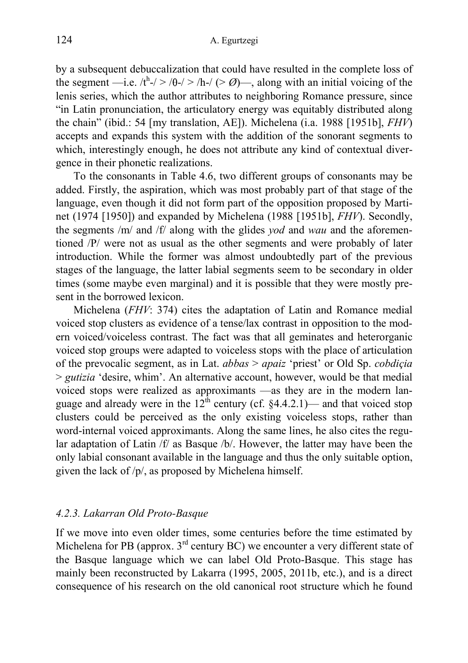#### 124 A. Egurtzegi

by a subsequent debuccalization that could have resulted in the complete loss of the segment —i.e.  $/t^h$ -/ > / $\theta$ -/ > /h-/ (>  $\emptyset$ )—, along with an initial voicing of the lenis series, which the author attributes to neighboring Romance pressure, since "in Latin pronunciation, the articulatory energy was equitably distributed along the chain" (ibid.: 54 [my translation, AE]). Michelena (i.a. 1988 [1951b], *FHV*) accepts and expands this system with the addition of the sonorant segments to which, interestingly enough, he does not attribute any kind of contextual divergence in their phonetic realizations.

To the consonants in Table 4.6, two different groups of consonants may be added. Firstly, the aspiration, which was most probably part of that stage of the language, even though it did not form part of the opposition proposed by Martinet (1974 [1950]) and expanded by Michelena (1988 [1951b], *FHV*). Secondly, the segments /m/ and /f/ along with the glides *yod* and *wau* and the aforementioned /P/ were not as usual as the other segments and were probably of later introduction. While the former was almost undoubtedly part of the previous stages of the language, the latter labial segments seem to be secondary in older times (some maybe even marginal) and it is possible that they were mostly present in the borrowed lexicon.

Michelena (*FHV*: 374) cites the adaptation of Latin and Romance medial voiced stop clusters as evidence of a tense/lax contrast in opposition to the modern voiced/voiceless contrast. The fact was that all geminates and heterorganic voiced stop groups were adapted to voiceless stops with the place of articulation of the prevocalic segment, as in Lat. *abbas* > *apaiz* 'priest' or Old Sp. *cobdiçia* > *gutizia* 'desire, whim'. An alternative account, however, would be that medial voiced stops were realized as approximants —as they are in the modern language and already were in the  $12^{th}$  century (cf. §4.4.2.1)— and that voiced stop clusters could be perceived as the only existing voiceless stops, rather than word-internal voiced approximants. Along the same lines, he also cites the regular adaptation of Latin /f/ as Basque /b/. However, the latter may have been the only labial consonant available in the language and thus the only suitable option, given the lack of /p/, as proposed by Michelena himself.

#### *4.2.3. Lakarran Old Proto-Basque*

If we move into even older times, some centuries before the time estimated by Michelena for PB (approx.  $3<sup>rd</sup>$  century BC) we encounter a very different state of the Basque language which we can label Old Proto-Basque. This stage has mainly been reconstructed by Lakarra (1995, 2005, 2011b, etc.), and is a direct consequence of his research on the old canonical root structure which he found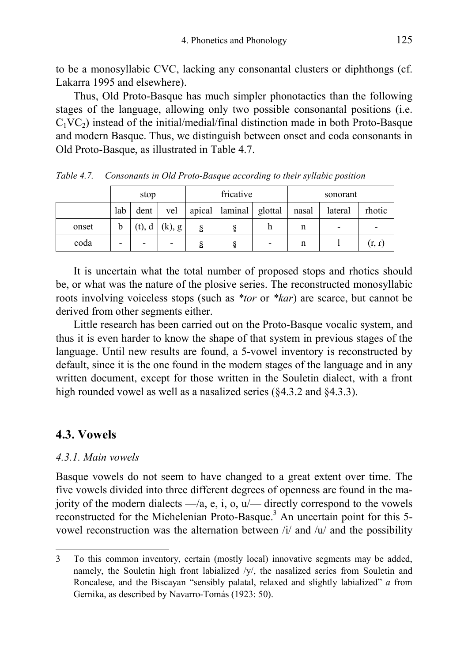to be a monosyllabic CVC, lacking any consonantal clusters or diphthongs (cf. Lakarra 1995 and elsewhere).

Thus, Old Proto-Basque has much simpler phonotactics than the following stages of the language, allowing only two possible consonantal positions (i.e.  $C_1VC_2$ ) instead of the initial/medial/final distinction made in both Proto-Basque and modern Basque. Thus, we distinguish between onset and coda consonants in Old Proto-Basque, as illustrated in Table 4.7.

|       | stop |                          |           | fricative |                   |   | sonorant |         |        |
|-------|------|--------------------------|-----------|-----------|-------------------|---|----------|---------|--------|
|       | lab  | dent                     | vel       | apical    | laminal   glottal |   | nasal    | lateral | rhotic |
| onset | b    | $(t)$ , d                | $(k)$ , g |           |                   |   | n        | -       | -      |
| coda  | ۰    | $\overline{\phantom{0}}$ | -         |           | ş                 | - | n        |         | (r, r) |

*Table 4.7. Consonants in Old Proto-Basque according to their syllabic position* 

It is uncertain what the total number of proposed stops and rhotics should be, or what was the nature of the plosive series. The reconstructed monosyllabic roots involving voiceless stops (such as *\*tor* or *\*kar*) are scarce, but cannot be derived from other segments either.

Little research has been carried out on the Proto-Basque vocalic system, and thus it is even harder to know the shape of that system in previous stages of the language. Until new results are found, a 5-vowel inventory is reconstructed by default, since it is the one found in the modern stages of the language and in any written document, except for those written in the Souletin dialect, with a front high rounded vowel as well as a nasalized series (§4.3.2 and §4.3.3).

# **4.3. Vowels**

 $\overline{a}$ 

## *4.3.1. Main vowels*

Basque vowels do not seem to have changed to a great extent over time. The five vowels divided into three different degrees of openness are found in the majority of the modern dialects  $-\frac{a}{a}$ , e, i, o, u $\frac{a}{c}$  directly correspond to the vowels reconstructed for the Michelenian Proto-Basque.<sup>3</sup> An uncertain point for this 5vowel reconstruction was the alternation between /i/ and /u/ and the possibility

<sup>3</sup> To this common inventory, certain (mostly local) innovative segments may be added, namely, the Souletin high front labialized /y/, the nasalized series from Souletin and Roncalese, and the Biscayan "sensibly palatal, relaxed and slightly labialized" *a* from Gernika, as described by Navarro-Tomás (1923: 50).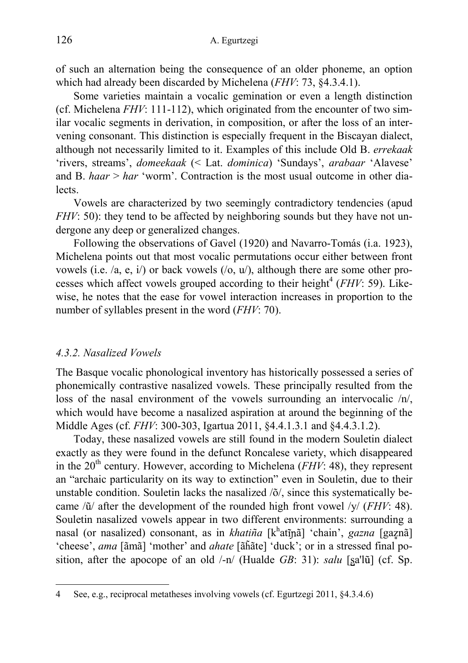of such an alternation being the consequence of an older phoneme, an option which had already been discarded by Michelena (*FHV*: 73, §4.3.4.1).

Some varieties maintain a vocalic gemination or even a length distinction (cf. Michelena *FHV*: 111-112), which originated from the encounter of two similar vocalic segments in derivation, in composition, or after the loss of an intervening consonant. This distinction is especially frequent in the Biscayan dialect, although not necessarily limited to it. Examples of this include Old B. *errekaak* 'rivers, streams', *domeekaak* (< Lat. *dominica*) 'Sundays', *arabaar* 'Alavese' and B. *haar* > *har* 'worm'. Contraction is the most usual outcome in other dialects.

Vowels are characterized by two seemingly contradictory tendencies (apud *FHV*: 50): they tend to be affected by neighboring sounds but they have not undergone any deep or generalized changes.

Following the observations of Gavel (1920) and Navarro-Tomás (i.a. 1923), Michelena points out that most vocalic permutations occur either between front vowels (i.e. /a, e, i/) or back vowels (/o, u/), although there are some other processes which affect vowels grouped according to their height<sup>4</sup> (*FHV*: 59). Likewise, he notes that the ease for vowel interaction increases in proportion to the number of syllables present in the word (*FHV*: 70).

#### *4.3.2. Nasalized Vowels*

 $\overline{a}$ 

The Basque vocalic phonological inventory has historically possessed a series of phonemically contrastive nasalized vowels. These principally resulted from the loss of the nasal environment of the vowels surrounding an intervocalic  $/n/$ , which would have become a nasalized aspiration at around the beginning of the Middle Ages (cf. *FHV*: 300-303, Igartua 2011, §4.4.1.3.1 and §4.4.3.1.2).

Today, these nasalized vowels are still found in the modern Souletin dialect exactly as they were found in the defunct Roncalese variety, which disappeared in the  $20<sup>th</sup>$  century. However, according to Michelena (*FHV*: 48), they represent an "archaic particularity on its way to extinction" even in Souletin, due to their unstable condition. Souletin lacks the nasalized /õ/, since this systematically became  $\partial \tilde{u}$  after the development of the rounded high front vowel  $\partial y$  (*FHV*: 48). Souletin nasalized vowels appear in two different environments: surrounding a nasal (or nasalized) consonant, as in *khatiña* [kʰatīɲã] 'chain', *gazna* [gaz̪nã] 'cheese', *ama* [ãmã] 'mother' and *ahate* [ãhãte] 'duck'; or in a stressed final position, after the apocope of an old  $\text{-}n$  (Hualde *GB*: 31): *salu* [sa'l  $\tilde{u}$ ] (cf. Sp.

<sup>4</sup> See, e.g., reciprocal metatheses involving vowels (cf. Egurtzegi 2011, §4.3.4.6)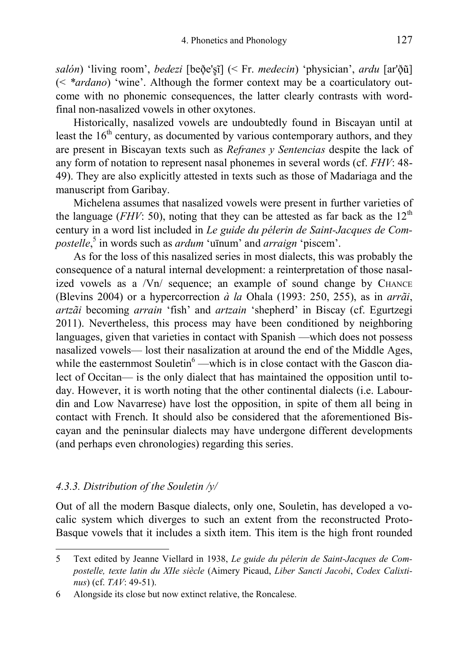*salón*) 'living room', *bedezi* [beðe'si] (< Fr. *medecin*) 'physician', *ardu* [ar'ðū] (< *\*ardano*) 'wine'. Although the former context may be a coarticulatory outcome with no phonemic consequences, the latter clearly contrasts with wordfinal non-nasalized vowels in other oxytones.

Historically, nasalized vowels are undoubtedly found in Biscayan until at least the  $16<sup>th</sup>$  century, as documented by various contemporary authors, and they are present in Biscayan texts such as *Refranes y Sentencias* despite the lack of any form of notation to represent nasal phonemes in several words (cf. *FHV*: 48- 49). They are also explicitly attested in texts such as those of Madariaga and the manuscript from Garibay.

Michelena assumes that nasalized vowels were present in further varieties of the language (*FHV*: 50), noting that they can be attested as far back as the  $12<sup>th</sup>$ century in a word list included in *Le guide du pélerin de Saint-Jacques de Compostelle*,<sup>5</sup> in words such as *ardum* 'unnum' and *arraign* 'piscem'.

As for the loss of this nasalized series in most dialects, this was probably the consequence of a natural internal development: a reinterpretation of those nasalized vowels as a  $\sqrt{Vn}$  sequence; an example of sound change by CHANCE (Blevins 2004) or a hypercorrection *à la* Ohala (1993: 250, 255), as in *arrãi*, *artzãi* becoming *arrain* 'fish' and *artzain* 'shepherd' in Biscay (cf. Egurtzegi 2011). Nevertheless, this process may have been conditioned by neighboring languages, given that varieties in contact with Spanish —which does not possess nasalized vowels— lost their nasalization at around the end of the Middle Ages, while the easternmost Souletin $6$  —which is in close contact with the Gascon dialect of Occitan— is the only dialect that has maintained the opposition until today. However, it is worth noting that the other continental dialects (i.e. Labourdin and Low Navarrese) have lost the opposition, in spite of them all being in contact with French. It should also be considered that the aforementioned Biscayan and the peninsular dialects may have undergone different developments (and perhaps even chronologies) regarding this series.

# *4.3.3. Distribution of the Souletin /y/*

 $\overline{a}$ 

Out of all the modern Basque dialects, only one, Souletin, has developed a vocalic system which diverges to such an extent from the reconstructed Proto-Basque vowels that it includes a sixth item. This item is the high front rounded

<sup>5</sup> Text edited by Jeanne Viellard in 1938, *Le guide du pélerin de Saint-Jacques de Compostelle, texte latin du XIIe siècle* (Aimery Picaud, *Liber Sancti Jacobi*, *Codex Calixtinus*) (cf. *TAV*: 49-51).

<sup>6</sup> Alongside its close but now extinct relative, the Roncalese.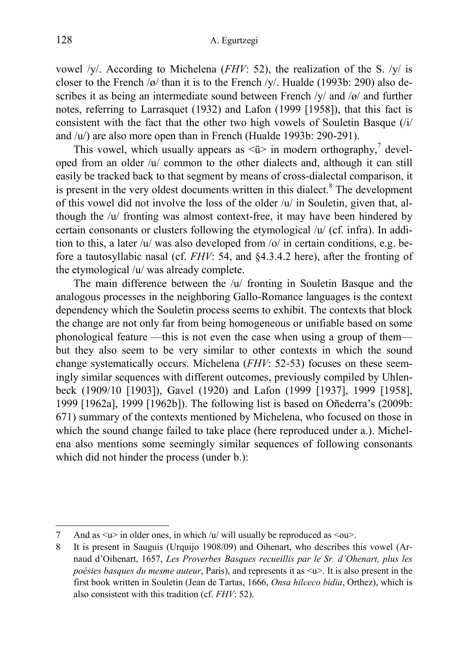vowel /y/. According to Michelena (*FHV*: 52), the realization of the S. /y/ is closer to the French /ø/ than it is to the French /y/. Hualde (1993b: 290) also describes it as being an intermediate sound between French /y/ and /ø/ and further notes, referring to Larrasquet (1932) and Lafon (1999 [1958]), that this fact is consistent with the fact that the other two high vowels of Souletin Basque (/i/ and /u/) are also more open than in French (Hualde 1993b: 290-291).

This vowel, which usually appears as  $\langle \ddot{u} \rangle$  in modern orthography,<sup>7</sup> developed from an older /u/ common to the other dialects and, although it can still easily be tracked back to that segment by means of cross-dialectal comparison, it is present in the very oldest documents written in this dialect. $<sup>8</sup>$  The development</sup> of this vowel did not involve the loss of the older /u/ in Souletin, given that, although the /u/ fronting was almost context-free, it may have been hindered by certain consonants or clusters following the etymological /u/ (cf. infra). In addition to this, a later /u/ was also developed from /o/ in certain conditions, e.g. before a tautosyllabic nasal (cf. *FHV*: 54, and §4.3.4.2 here), after the fronting of the etymological /u/ was already complete.

The main difference between the /u/ fronting in Souletin Basque and the analogous processes in the neighboring Gallo-Romance languages is the context dependency which the Souletin process seems to exhibit. The contexts that block the change are not only far from being homogeneous or unifiable based on some phonological feature —this is not even the case when using a group of them but they also seem to be very similar to other contexts in which the sound change systematically occurs. Michelena (*FHV*: 52-53) focuses on these seemingly similar sequences with different outcomes, previously compiled by Uhlenbeck (1909/10 [1903]), Gavel (1920) and Lafon (1999 [1937], 1999 [1958], 1999 [1962a], 1999 [1962b]). The following list is based on Oñederra's (2009b: 671) summary of the contexts mentioned by Michelena, who focused on those in which the sound change failed to take place (here reproduced under a.). Michelena also mentions some seemingly similar sequences of following consonants which did not hinder the process (under b.):

<sup>7</sup> And as  $\lt u$  in older ones, in which /u/ will usually be reproduced as  $\lt ou$ .

<sup>8</sup> It is present in Sauguis (Urquijo 1908/09) and Oihenart, who describes this vowel (Arnaud d'Oihenart, 1657, *Les Proverbes Basques recueillis par le Sr. d'Ohenart, plus les poésies basques du mesme auteur*, Paris), and represents it as  $\leq u$ . It is also present in the first book written in Souletin (Jean de Tartas, 1666, *Onsa hilceco bidia*, Orthez), which is also consistent with this tradition (cf. *FHV*: 52).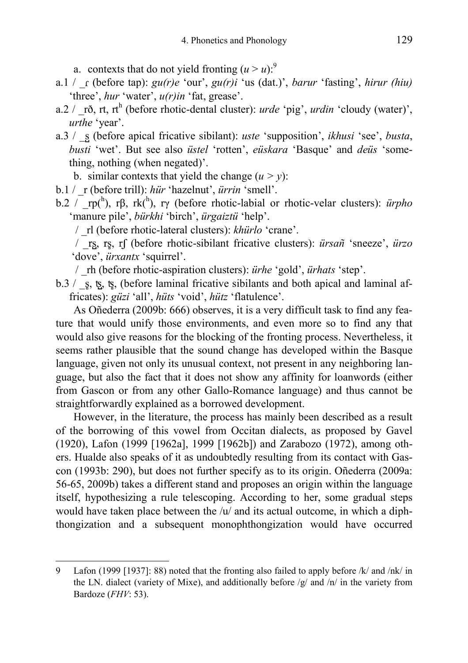a. contexts that do not yield fronting  $(u > u)$ .<sup>9</sup>

- a.1 / \_ (before tap): *gu(r)e* 'our', *gu(r)i* 'us (dat.)', *barur* 'fasting', *hirur (hiu)* 'three', *hur* 'water', *u(r)in* 'fat, grease'.
- a.2 / \_rð, rt, rt<sup>h</sup> (before rhotic-dental cluster): *urde* 'pig', *urdin* 'cloudy (water)', *urthe* 'year'.
- a.3 / \_s (before apical fricative sibilant): *uste* 'supposition', *ikhusi* 'see', *busta*, *busti* 'wet'. But see also *üstel* 'rotten', *eüskara* 'Basque' and *deüs* 'something, nothing (when negated)'.
	- b. similar contexts that yield the change  $(u > v)$ :
- b.1 / \_r (before trill): *hür* 'hazelnut', *ürrin* 'smell'.
- b.2 / \_rp(<sup>h</sup>), rβ, rk(<sup>h</sup>), rγ (before rhotic-labial or rhotic-velar clusters): *ürpho* 'manure pile', *bürkhi* 'birch', *ürgaiztü* 'help'.
	- / \_rl (before rhotic-lateral clusters): *khürlo* 'crane'.
	- / \_ s, s, (before rhotic-sibilant fricative clusters): *ürsañ* 'sneeze', *ürzo* 'dove', *ürxantx* 'squirrel'.
	- / \_rh (before rhotic-aspiration clusters): *ürhe* 'gold', *ürhats* 'step'.
- $b.3 / s$ ,  $t_s$ ,  $t_s$ , (before laminal fricative sibilants and both apical and laminal affricates): *güzi* 'all', *hüts* 'void', *hütz* 'flatulence'.

As Oñederra (2009b: 666) observes, it is a very difficult task to find any feature that would unify those environments, and even more so to find any that would also give reasons for the blocking of the fronting process. Nevertheless, it seems rather plausible that the sound change has developed within the Basque language, given not only its unusual context, not present in any neighboring language, but also the fact that it does not show any affinity for loanwords (either from Gascon or from any other Gallo-Romance language) and thus cannot be straightforwardly explained as a borrowed development.

However, in the literature, the process has mainly been described as a result of the borrowing of this vowel from Occitan dialects, as proposed by Gavel (1920), Lafon (1999 [1962a], 1999 [1962b]) and Zarabozo (1972), among others. Hualde also speaks of it as undoubtedly resulting from its contact with Gascon (1993b: 290), but does not further specify as to its origin. Oñederra (2009a: 56-65, 2009b) takes a different stand and proposes an origin within the language itself, hypothesizing a rule telescoping. According to her, some gradual steps would have taken place between the /u/ and its actual outcome, in which a diphthongization and a subsequent monophthongization would have occurred

<sup>9</sup> Lafon (1999 [1937]: 88) noted that the fronting also failed to apply before /k/ and /nk/ in the LN. dialect (variety of Mixe), and additionally before /g/ and /n/ in the variety from Bardoze (*FHV*: 53).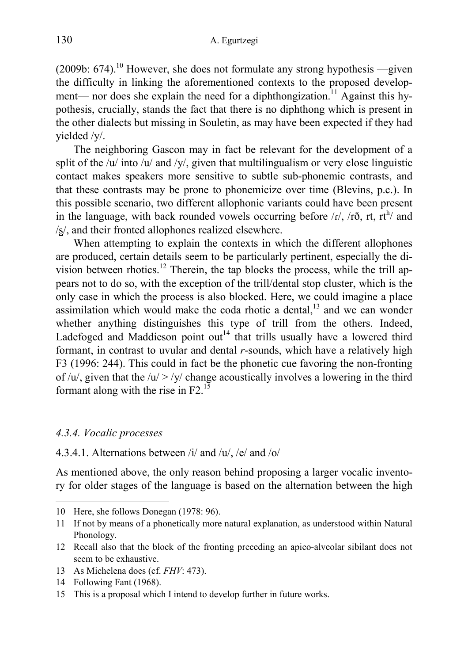(2009b:  $674$ ).<sup>10</sup> However, she does not formulate any strong hypothesis —given the difficulty in linking the aforementioned contexts to the proposed development— nor does she explain the need for a diphthongization.<sup>11</sup> Against this hypothesis, crucially, stands the fact that there is no diphthong which is present in the other dialects but missing in Souletin, as may have been expected if they had yielded /y/.

The neighboring Gascon may in fact be relevant for the development of a split of the  $/u$  into  $/u$  and  $/v$ , given that multilingualism or very close linguistic contact makes speakers more sensitive to subtle sub-phonemic contrasts, and that these contrasts may be prone to phonemicize over time (Blevins, p.c.). In this possible scenario, two different allophonic variants could have been present in the language, with back rounded vowels occurring before  $/r/$ ,  $/r\delta$ , rt, rt<sup>h</sup>/ and /s/, and their fronted allophones realized elsewhere.

When attempting to explain the contexts in which the different allophones are produced, certain details seem to be particularly pertinent, especially the division between rhotics.<sup>12</sup> Therein, the tap blocks the process, while the trill appears not to do so, with the exception of the trill/dental stop cluster, which is the only case in which the process is also blocked. Here, we could imagine a place assimilation which would make the coda rhotic a dental, $13$  and we can wonder whether anything distinguishes this type of trill from the others. Indeed, Ladefoged and Maddieson point out<sup>14</sup> that trills usually have a lowered third formant, in contrast to uvular and dental *r*-sounds, which have a relatively high F3 (1996: 244). This could in fact be the phonetic cue favoring the non-fronting of  $/u'$ , given that the  $/u'$  > /y/ change acoustically involves a lowering in the third formant along with the rise in  $F2$ .<sup>15</sup>

#### *4.3.4. Vocalic processes*

 $\overline{a}$ 

4.3.4.1. Alternations between /i/ and /u/, /e/ and /o/

As mentioned above, the only reason behind proposing a larger vocalic inventory for older stages of the language is based on the alternation between the high

- 13 As Michelena does (cf. *FHV*: 473).
- 14 Following Fant (1968).

<sup>10</sup> Here, she follows Donegan (1978: 96).

<sup>11</sup> If not by means of a phonetically more natural explanation, as understood within Natural Phonology.

<sup>12</sup> Recall also that the block of the fronting preceding an apico-alveolar sibilant does not seem to be exhaustive.

<sup>15</sup> This is a proposal which I intend to develop further in future works.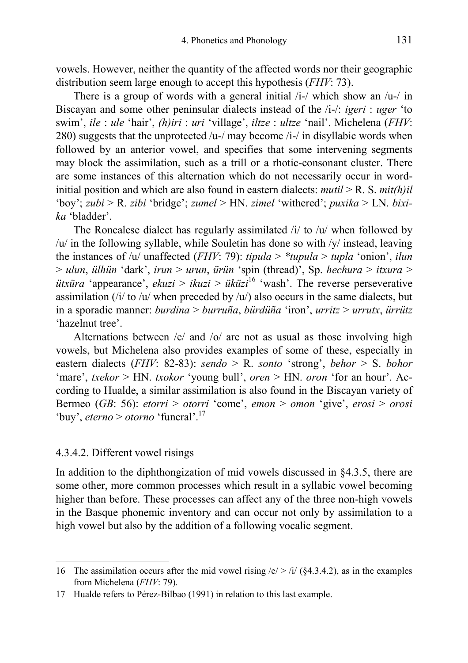vowels. However, neither the quantity of the affected words nor their geographic distribution seem large enough to accept this hypothesis (*FHV*: 73).

There is a group of words with a general initial  $\lambda$ -/ which show an  $\lambda$ u-/ in Biscayan and some other peninsular dialects instead of the /i-/: *igeri* : *uger* 'to swim', *ile* : *ule* 'hair', *(h)iri* : *uri* 'village', *iltze* : *ultze* 'nail'. Michelena (*FHV*: 280) suggests that the unprotected  $/u$ -/ may become /i-/ in disyllabic words when followed by an anterior vowel, and specifies that some intervening segments may block the assimilation, such as a trill or a rhotic-consonant cluster. There are some instances of this alternation which do not necessarily occur in wordinitial position and which are also found in eastern dialects: *mutil* > R. S. *mit(h)il* 'boy'; *zubi* > R. *zibi* 'bridge'; *zumel* > HN. *zimel* 'withered'; *puxika* > LN. *bixika* 'bladder'.

The Roncalese dialect has regularly assimilated /i/ to /u/ when followed by /u/ in the following syllable, while Souletin has done so with /y/ instead, leaving the instances of /u/ unaffected (*FHV*: 79): *tipula* > *\*tupula* > *tupla* 'onion', *ilun* > *ulun*, *ülhün* 'dark', *irun* > *urun*, *ürün* 'spin (thread)', Sp. *hechura* > *itxura* > *ütxüra* 'appearance',  $ekuzi > ikuzi > üküzi<sup>16</sup>$ 'wash'. The reverse perseverative assimilation ( $/i$  to  $/u$  when preceded by  $/u$ ) also occurs in the same dialects, but in a sporadic manner: *burdina* > *burruña*, *bürdüña* 'iron', *urritz* > *urrutx*, *ürrütz* 'hazelnut tree'.

Alternations between /e/ and /o/ are not as usual as those involving high vowels, but Michelena also provides examples of some of these, especially in eastern dialects (*FHV*: 82-83): *sendo* > R. *sonto* 'strong', *behor* > S. *bohor* 'mare', *txekor* > HN. *txokor* 'young bull', *oren* > HN. *oron* 'for an hour'. According to Hualde, a similar assimilation is also found in the Biscayan variety of Bermeo (*GB*: 56): *etorri* > *otorri* 'come', *emon* > *omon* 'give', *erosi* > *orosi* 'buy', *eterno* > *otorno* 'funeral'.<sup>17</sup>

## 4.3.4.2. Different vowel risings

 $\overline{a}$ 

In addition to the diphthongization of mid vowels discussed in §4.3.5, there are some other, more common processes which result in a syllabic vowel becoming higher than before. These processes can affect any of the three non-high vowels in the Basque phonemic inventory and can occur not only by assimilation to a high vowel but also by the addition of a following vocalic segment.

<sup>16</sup> The assimilation occurs after the mid vowel rising  $|e| > |i|$  (§4.3.4.2), as in the examples from Michelena (*FHV*: 79).

<sup>17</sup> Hualde refers to Pérez-Bilbao (1991) in relation to this last example.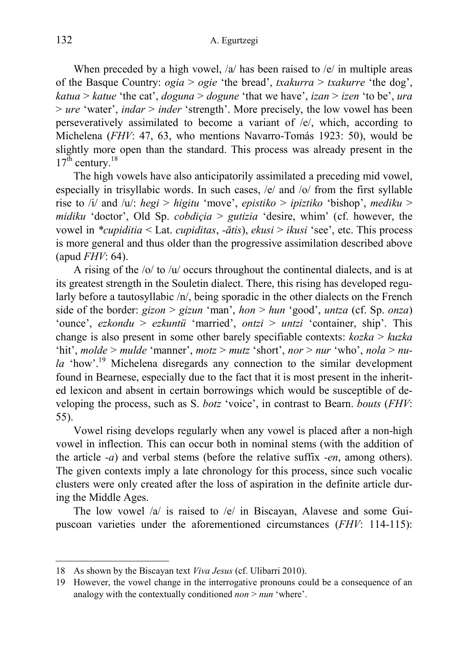When preceded by a high vowel,  $\alpha$  has been raised to  $\alpha$  in multiple areas of the Basque Country: *ogia* > *ogie* 'the bread', *txakurra* > *txakurre* 'the dog', *katua* > *katue* 'the cat', *doguna* > *dogune* 'that we have', *izan* > *izen* 'to be', *ura* > *ure* 'water', *indar* > *inder* 'strength'. More precisely, the low vowel has been perseveratively assimilated to become a variant of /e/, which, according to Michelena (*FHV*: 47, 63, who mentions Navarro-Tomás 1923: 50), would be slightly more open than the standard. This process was already present in the  $17<sup>th</sup>$  century.<sup>18</sup>

The high vowels have also anticipatorily assimilated a preceding mid vowel, especially in trisyllabic words. In such cases, /e/ and /o/ from the first syllable rise to /i/ and /u/: *hegi* > *higitu* 'move', *epistiko* > *ipiztiko* 'bishop', *mediku* > *midiku* 'doctor', Old Sp. *cobdiçia* > *gutizia* 'desire, whim' (cf. however, the vowel in *\*cupiditia* < Lat. *cupiditas*, *- tis*), *ekusi* > *ikusi* 'see', etc. This process is more general and thus older than the progressive assimilation described above (apud *FHV*: 64).

A rising of the /o/ to /u/ occurs throughout the continental dialects, and is at its greatest strength in the Souletin dialect. There, this rising has developed regularly before a tautosyllabic /n/, being sporadic in the other dialects on the French side of the border: *gizon* > *gizun* 'man', *hon* > *hun* 'good', *untza* (cf. Sp. *onza*) 'ounce', *ezkondu* > *ezkuntü* 'married', *ontzi* > *untzi* 'container, ship'. This change is also present in some other barely specifiable contexts: *kozka* > *kuzka* 'hit', *molde* > *mulde* 'manner', *motz* > *mutz* 'short', *nor* > *nur* 'who', *nola* > *nula* 'how'.<sup>19</sup> Michelena disregards any connection to the similar development found in Bearnese, especially due to the fact that it is most present in the inherited lexicon and absent in certain borrowings which would be susceptible of developing the process, such as S. *botz* 'voice', in contrast to Bearn. *bouts* (*FHV*: 55).

Vowel rising develops regularly when any vowel is placed after a non-high vowel in inflection. This can occur both in nominal stems (with the addition of the article *-a*) and verbal stems (before the relative suffix *-en*, among others). The given contexts imply a late chronology for this process, since such vocalic clusters were only created after the loss of aspiration in the definite article during the Middle Ages.

The low vowel /a/ is raised to /e/ in Biscayan, Alavese and some Guipuscoan varieties under the aforementioned circumstances (*FHV*: 114-115):

<sup>18</sup> As shown by the Biscayan text *Viva Jesus* (cf. Ulibarri 2010).

<sup>19</sup> However, the vowel change in the interrogative pronouns could be a consequence of an analogy with the contextually conditioned *non* > *nun* 'where'.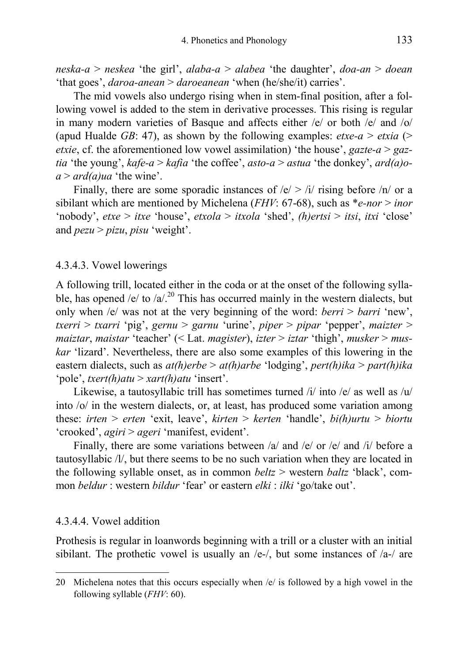*neska-a* > *neskea* 'the girl', *alaba-a* > *alabea* 'the daughter', *doa-an* > *doean* 'that goes', *daroa-anean* > *daroeanean* 'when (he/she/it) carries'.

The mid vowels also undergo rising when in stem-final position, after a following vowel is added to the stem in derivative processes. This rising is regular in many modern varieties of Basque and affects either /e/ or both /e/ and /o/ (apud Hualde *GB*: 47), as shown by the following examples: *etxe-a* > *etxia* (> *etxie*, cf. the aforementioned low vowel assimilation) 'the house', *gazte-a* > *gaztia* 'the young', *kafe-a* > *kafia* 'the coffee', *asto-a* > *astua* 'the donkey', *ard(a)o* $a > \text{ard}(a)ua$  'the wine'.

Finally, there are some sporadic instances of  $/e$  >  $/i$  rising before  $/n$  or a sibilant which are mentioned by Michelena (*FHV*: 67-68), such as \**e-nor* > *inor* 'nobody', *etxe* > *itxe* 'house', *etxola* > *itxola* 'shed', *(h)ertsi* > *itsi*, *itxi* 'close' and *pezu* > *pizu*, *pisu* 'weight'.

#### 4.3.4.3. Vowel lowerings

A following trill, located either in the coda or at the onset of the following syllable, has opened /e/ to /a/ $^{20}$  This has occurred mainly in the western dialects, but only when /e/ was not at the very beginning of the word: *berri* > *barri* 'new', *txerri* > *txarri* 'pig', *gernu* > *garnu* 'urine', *piper* > *pipar* 'pepper', *maizter* > *maiztar*, *maistar* 'teacher' (< Lat. *magister*), *izter* > *iztar* 'thigh', *musker* > *muskar* 'lizard'. Nevertheless, there are also some examples of this lowering in the eastern dialects, such as *at(h)erbe* > *at(h)arbe* 'lodging', *pert(h)ika* > *part(h)ika* 'pole', *txert(h)atu* > *xart(h)atu* 'insert'.

Likewise, a tautosyllabic trill has sometimes turned /i/ into /e/ as well as /u/ into /o/ in the western dialects, or, at least, has produced some variation among these: *irten* > *erten* 'exit, leave', *kirten* > *kerten* 'handle', *bi(h)urtu* > *biortu* 'crooked', *agiri* > *ageri* 'manifest, evident'.

Finally, there are some variations between /a/ and /e/ or /e/ and /i/ before a tautosyllabic /l/, but there seems to be no such variation when they are located in the following syllable onset, as in common *beltz* > western *baltz* 'black', common *beldur* : western *bildur* 'fear' or eastern *elki* : *ilki* 'go/take out'.

#### 4.3.4.4. Vowel addition

 $\overline{a}$ 

Prothesis is regular in loanwords beginning with a trill or a cluster with an initial sibilant. The prothetic vowel is usually an  $/e$ - $\ell$ , but some instances of  $/a$ - $\ell$  are

<sup>20</sup> Michelena notes that this occurs especially when  $\sqrt{e}$  is followed by a high vowel in the following syllable (*FHV*: 60).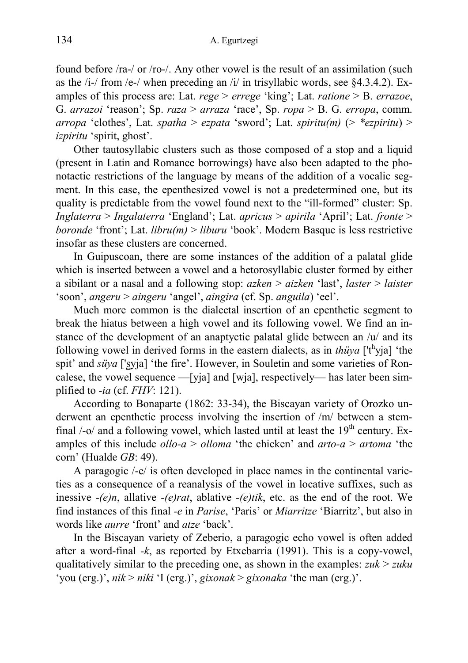found before /ra-/ or /ro-/. Any other vowel is the result of an assimilation (such as the  $/i$ -/ from /e-/ when preceding an  $/i$  in trisyllabic words, see §4.3.4.2). Examples of this process are: Lat. *rege* > *errege* 'king'; Lat. *ratione* > B. *errazoe*, G. *arrazoi* 'reason'; Sp. *raza* > *arraza* 'race', Sp. *ropa* > B. G. *erropa*, comm. *arropa* 'clothes', Lat. *spatha* > *ezpata* 'sword'; Lat. *spiritu(m)* (> *\*ezpiritu*) > *izpiritu* 'spirit, ghost'.

Other tautosyllabic clusters such as those composed of a stop and a liquid (present in Latin and Romance borrowings) have also been adapted to the phonotactic restrictions of the language by means of the addition of a vocalic segment. In this case, the epenthesized vowel is not a predetermined one, but its quality is predictable from the vowel found next to the "ill-formed" cluster: Sp. *Inglaterra* > *Ingalaterra* 'England'; Lat. *apricus* > *apirila* 'April'; Lat. *fronte* > *boronde* 'front'; Lat. *libru(m)* > *liburu* 'book'. Modern Basque is less restrictive insofar as these clusters are concerned.

In Guipuscoan, there are some instances of the addition of a palatal glide which is inserted between a vowel and a hetorosyllabic cluster formed by either a sibilant or a nasal and a following stop: *azken* > *aizken* 'last', *laster* > *laister* 'soon', *angeru* > *aingeru* 'angel', *aingira* (cf. Sp. *anguila*) 'eel'.

Much more common is the dialectal insertion of an epenthetic segment to break the hiatus between a high vowel and its following vowel. We find an instance of the development of an anaptyctic palatal glide between an /u/ and its following vowel in derived forms in the eastern dialects, as in *thüya* [' $t^h$ yja] 'the spit' and *süya* ['syja] 'the fire'. However, in Souletin and some varieties of Roncalese, the vowel sequence —[yja] and [wja], respectively— has later been simplified to *-ia* (cf. *FHV*: 121).

According to Bonaparte (1862: 33-34), the Biscayan variety of Orozko underwent an epenthetic process involving the insertion of /m/ between a stemfinal  $\frac{1}{2}$ -o $\frac{1}{2}$  and a following vowel, which lasted until at least the 19<sup>th</sup> century. Examples of this include *ollo-a* > *olloma* 'the chicken' and *arto-a* > *artoma* 'the corn' (Hualde *GB*: 49).

A paragogic /-e/ is often developed in place names in the continental varieties as a consequence of a reanalysis of the vowel in locative suffixes, such as inessive *-(e)n*, allative *-(e)rat*, ablative *-(e)tik*, etc. as the end of the root. We find instances of this final *-e* in *Parise*, 'Paris' or *Miarritze* 'Biarritz', but also in words like *aurre* 'front' and *atze* 'back'.

In the Biscayan variety of Zeberio, a paragogic echo vowel is often added after a word-final *-k*, as reported by Etxebarria (1991). This is a copy-vowel, qualitatively similar to the preceding one, as shown in the examples: *zuk* > *zuku* 'you (erg.)', *nik* > *niki* 'I (erg.)', *gixonak* > *gixonaka* 'the man (erg.)'.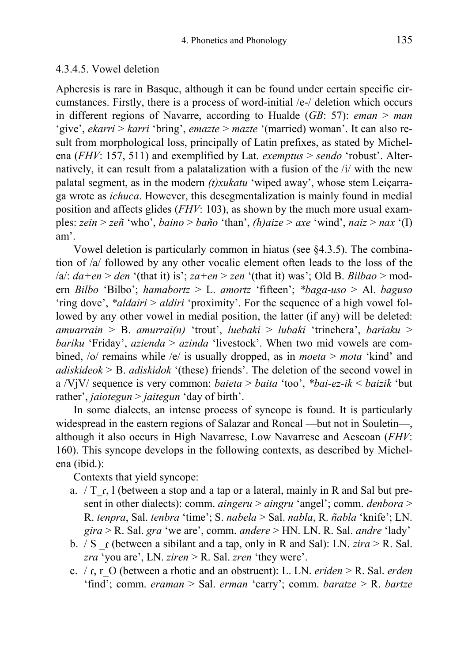# 4.3.4.5. Vowel deletion

Apheresis is rare in Basque, although it can be found under certain specific circumstances. Firstly, there is a process of word-initial /e-/ deletion which occurs in different regions of Navarre, according to Hualde (*GB*: 57): *eman* > *man* 'give', *ekarri* > *karri* 'bring', *emazte* > *mazte* '(married) woman'. It can also result from morphological loss, principally of Latin prefixes, as stated by Michelena (*FHV*: 157, 511) and exemplified by Lat. *exemptus* > *sendo* 'robust'. Alternatively, it can result from a palatalization with a fusion of the /i/ with the new palatal segment, as in the modern *(t)xukatu* 'wiped away', whose stem Leiçarraga wrote as *ichuca*. However, this desegmentalization is mainly found in medial position and affects glides (*FHV*: 103), as shown by the much more usual examples: *zein* > *zeñ* 'who', *baino* > *baño* 'than', *(h)aize* > *axe* 'wind', *naiz* > *nax* '(I) am'.

Vowel deletion is particularly common in hiatus (see §4.3.5). The combination of /a/ followed by any other vocalic element often leads to the loss of the /a/: *da+en* > *den* '(that it) is'; *za+en* > *zen* '(that it) was'; Old B. *Bilbao* > modern *Bilbo* 'Bilbo'; *hamabortz* > L. *amortz* 'fifteen'; *\*baga-uso* > Al. *baguso* 'ring dove', *\*aldairi* > *aldiri* 'proximity'. For the sequence of a high vowel followed by any other vowel in medial position, the latter (if any) will be deleted: *amuarrain* > B. *amurrai(n)* 'trout', *luebaki* > *lubaki* 'trinchera', *bariaku* > *bariku* 'Friday', *azienda* > *azinda* 'livestock'. When two mid vowels are combined, /o/ remains while /e/ is usually dropped, as in *moeta* > *mota* 'kind' and *adiskideok* > B. *adiskidok* '(these) friends'. The deletion of the second vowel in a /VjV/ sequence is very common: *baieta* > *baita* 'too', *\*bai-ez-ik* < *baizik* 'but rather', *jaiotegun* > *jaitegun* 'day of birth'.

In some dialects, an intense process of syncope is found. It is particularly widespread in the eastern regions of Salazar and Roncal —but not in Souletin—, although it also occurs in High Navarrese, Low Navarrese and Aescoan (*FHV*: 160). This syncope develops in the following contexts, as described by Michelena (ibid.):

Contexts that yield syncope:

- a.  $/T \int$ , l (between a stop and a tap or a lateral, mainly in R and Sal but present in other dialects): comm. *aingeru* > *aingru* 'angel'; comm. *denbora* > R. *tenpra*, Sal. *tenbra* 'time'; S. *nabela* > Sal. *nabla*, R. *ñabla* 'knife'; LN. *gira* > R. Sal. *gra* 'we are', comm. *andere* > HN. LN. R. Sal. *andre* 'lady'
- b.  $/S \text{ }$  (between a sibilant and a tap, only in R and Sal): LN. *zira* > R. Sal. *zra* 'you are', LN. *ziren* > R. Sal. *zren* 'they were'.
- c. / r, r O (between a rhotic and an obstruent): L. LN. *eriden* > R. Sal. *erden* 'find'; comm. *eraman* > Sal. *erman* 'carry'; comm. *baratze* > R. *bartze*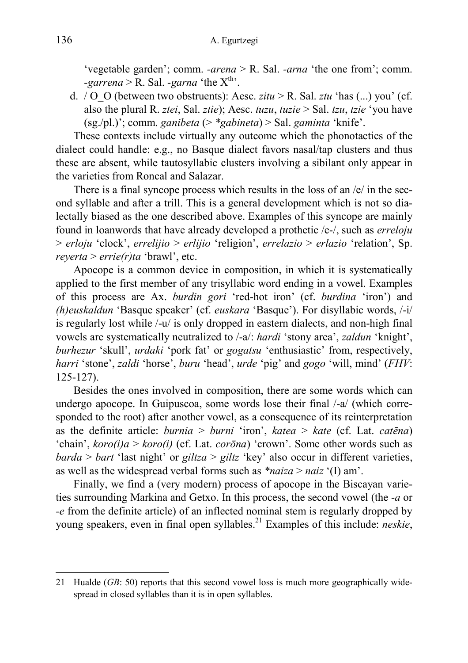'vegetable garden'; comm. *-arena* > R. Sal. *-arna* 'the one from'; comm.  $-q$ *arrena* > R. Sal.  $-q$ *arna* 'the X<sup>th</sup>'.

d. / O\_O (between two obstruents): Aesc. *zitu* > R. Sal. *ztu* 'has (...) you' (cf. also the plural R. *ztei*, Sal. *ztie*); Aesc. *tuzu*, *tuzie* > Sal. *tzu*, *tzie* 'you have (sg./pl.)'; comm. *ganibeta* (> *\*gabineta*) > Sal. *gaminta* 'knife'.

These contexts include virtually any outcome which the phonotactics of the dialect could handle: e.g., no Basque dialect favors nasal/tap clusters and thus these are absent, while tautosyllabic clusters involving a sibilant only appear in the varieties from Roncal and Salazar.

There is a final syncope process which results in the loss of an /e/ in the second syllable and after a trill. This is a general development which is not so dialectally biased as the one described above. Examples of this syncope are mainly found in loanwords that have already developed a prothetic /e-/, such as *erreloju* > *erloju* 'clock', *errelijio* > *erlijio* 'religion', *errelazio* > *erlazio* 'relation', Sp.  $reverta > errie(r)ta 'brawl', etc.$ 

Apocope is a common device in composition, in which it is systematically applied to the first member of any trisyllabic word ending in a vowel. Examples of this process are Ax. *burdin gori* 'red-hot iron' (cf. *burdina* 'iron') and *(h)euskaldun* 'Basque speaker' (cf. *euskara* 'Basque'). For disyllabic words, /-i/ is regularly lost while /-u/ is only dropped in eastern dialects, and non-high final vowels are systematically neutralized to /-a/: *hardi* 'stony area', *zaldun* 'knight', *burhezur* 'skull', *urdaki* 'pork fat' or *gogatsu* 'enthusiastic' from, respectively, *harri* 'stone', *zaldi* 'horse', *buru* 'head', *urde* 'pig' and *gogo* 'will, mind' (*FHV*: 125-127).

Besides the ones involved in composition, there are some words which can undergo apocope. In Guipuscoa, some words lose their final /-a/ (which corresponded to the root) after another vowel, as a consequence of its reinterpretation as the definite article: *burnia* > *burni* 'iron', *katea* > *kate* (cf. Lat. *cateria*) 'chain',  $koro(i)a > koro(i)$  (cf. Lat. *corona*) 'crown'. Some other words such as *barda* > *bart* 'last night' or *giltza* > *giltz* 'key' also occur in different varieties, as well as the widespread verbal forms such as *\*naiza* > *naiz* '(I) am'.

Finally, we find a (very modern) process of apocope in the Biscayan varieties surrounding Markina and Getxo. In this process, the second vowel (the *-a* or *-e* from the definite article) of an inflected nominal stem is regularly dropped by young speakers, even in final open syllables.<sup>21</sup> Examples of this include: *neskie*,

<sup>21</sup> Hualde (*GB*: 50) reports that this second vowel loss is much more geographically widespread in closed syllables than it is in open syllables.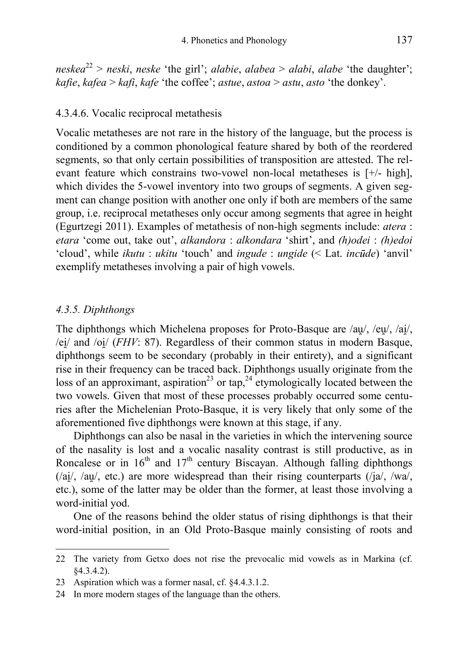*neskea*<sup>22</sup> > *neski*, *neske* 'the girl'; *alabie*, *alabea* > *alabi*, *alabe* 'the daughter'; *kafie*, *kafea* > *kafi*, *kafe* 'the coffee'; *astue*, *astoa* > *astu*, *asto* 'the donkey'.

#### 4.3.4.6. Vocalic reciprocal metathesis

Vocalic metatheses are not rare in the history of the language, but the process is conditioned by a common phonological feature shared by both of the reordered segments, so that only certain possibilities of transposition are attested. The relevant feature which constrains two-vowel non-local metatheses is [+/- high], which divides the 5-vowel inventory into two groups of segments. A given segment can change position with another one only if both are members of the same group, i.e. reciprocal metatheses only occur among segments that agree in height (Egurtzegi 2011). Examples of metathesis of non-high segments include: *atera* : *etara* 'come out, take out', *alkandora* : *alkondara* 'shirt', and *(h)odei* : *(h)edoi* 'cloud', while *ikutu* : *ukitu* 'touch' and *ingude* : *ungide* (< Lat. *incude*) 'anvil' exemplify metatheses involving a pair of high vowels.

#### *4.3.5. Diphthongs*

 $\overline{a}$ 

The diphthongs which Michelena proposes for Proto-Basque are /au/, /eu/, /ai/, /ei/ and /oi/ (*FHV*: 87). Regardless of their common status in modern Basque, diphthongs seem to be secondary (probably in their entirety), and a significant rise in their frequency can be traced back. Diphthongs usually originate from the loss of an approximant, aspiration<sup>23</sup> or tap,<sup>24</sup> etymologically located between the two vowels. Given that most of these processes probably occurred some centuries after the Michelenian Proto-Basque, it is very likely that only some of the aforementioned five diphthongs were known at this stage, if any.

Diphthongs can also be nasal in the varieties in which the intervening source of the nasality is lost and a vocalic nasality contrast is still productive, as in Roncalese or in  $16<sup>th</sup>$  and  $17<sup>th</sup>$  century Biscayan. Although falling diphthongs (/ai/, /au/, etc.) are more widespread than their rising counterparts (/ja/, /wa/, etc.), some of the latter may be older than the former, at least those involving a word-initial yod.

One of the reasons behind the older status of rising diphthongs is that their word-initial position, in an Old Proto-Basque mainly consisting of roots and

<sup>22</sup> The variety from Getxo does not rise the prevocalic mid vowels as in Markina (cf. §4.3.4.2).

<sup>23</sup> Aspiration which was a former nasal, cf. §4.4.3.1.2.

<sup>24</sup> In more modern stages of the language than the others.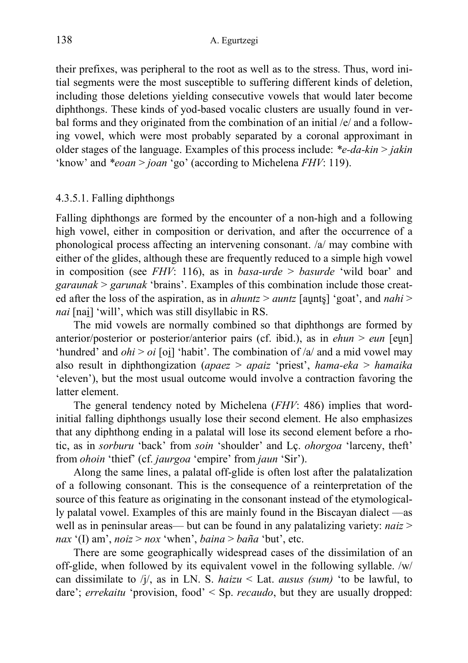their prefixes, was peripheral to the root as well as to the stress. Thus, word initial segments were the most susceptible to suffering different kinds of deletion, including those deletions yielding consecutive vowels that would later become diphthongs. These kinds of yod-based vocalic clusters are usually found in verbal forms and they originated from the combination of an initial /e/ and a following vowel, which were most probably separated by a coronal approximant in older stages of the language. Examples of this process include: *\*e-da-kin* > *jakin* 'know' and *\*eoan* > *joan* 'go' (according to Michelena *FHV*: 119).

### 4.3.5.1. Falling diphthongs

Falling diphthongs are formed by the encounter of a non-high and a following high vowel, either in composition or derivation, and after the occurrence of a phonological process affecting an intervening consonant. /a/ may combine with either of the glides, although these are frequently reduced to a simple high vowel in composition (see *FHV*: 116), as in *basa-urde* > *basurde* 'wild boar' and *garaunak* > *garunak* 'brains'. Examples of this combination include those created after the loss of the aspiration, as in *ahuntz* > *auntz* [aunts] 'goat', and *nahi* > *nai* [nai] 'will', which was still disyllabic in RS.

The mid vowels are normally combined so that diphthongs are formed by anterior/posterior or posterior/anterior pairs (cf. ibid.), as in *ehun* > *eun* [eun] 'hundred' and *ohi* > *oi* [oi] 'habit'. The combination of /a/ and a mid vowel may also result in diphthongization (*apaez* > *apaiz* 'priest', *hama-eka* > *hamaika* 'eleven'), but the most usual outcome would involve a contraction favoring the latter element.

The general tendency noted by Michelena (*FHV*: 486) implies that wordinitial falling diphthongs usually lose their second element. He also emphasizes that any diphthong ending in a palatal will lose its second element before a rhotic, as in *sorburu* 'back' from *soin* 'shoulder' and Lç. *ohorgoa* 'larceny, theft' from *ohoin* 'thief' (cf. *jaurgoa* 'empire' from *jaun* 'Sir').

Along the same lines, a palatal off-glide is often lost after the palatalization of a following consonant. This is the consequence of a reinterpretation of the source of this feature as originating in the consonant instead of the etymologically palatal vowel. Examples of this are mainly found in the Biscayan dialect —as well as in peninsular areas— but can be found in any palatalizing variety: *naiz* > *nax* '(I) am',  $noiz > nox$  'when',  $baina > baña$  'but', etc.

There are some geographically widespread cases of the dissimilation of an off-glide, when followed by its equivalent vowel in the following syllable. /w/ can dissimilate to /j/, as in LN. S. *haizu* < Lat. *ausus (sum)* 'to be lawful, to dare'; *errekaitu* 'provision, food' < Sp. *recaudo*, but they are usually dropped: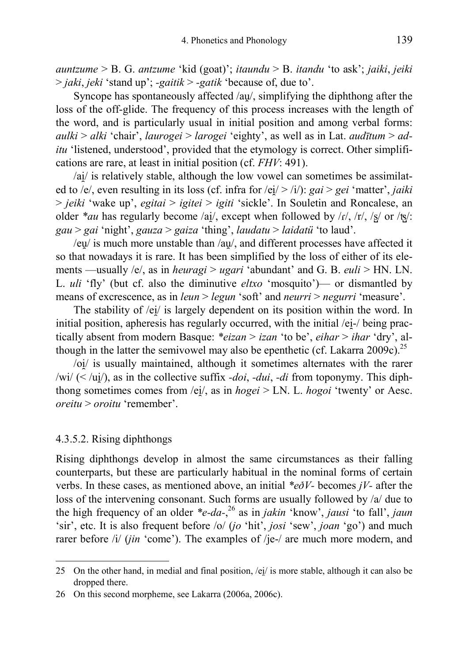*auntzume* > B. G. *antzume* 'kid (goat)'; *itaundu* > B. *itandu* 'to ask'; *jaiki*, *jeiki* > *jaki*, *jeki* 'stand up'; *-gaitik* > *-gatik* 'because of, due to'.

Syncope has spontaneously affected /au/, simplifying the diphthong after the loss of the off-glide. The frequency of this process increases with the length of the word, and is particularly usual in initial position and among verbal forms: *aulki* > *alki* 'chair', *laurogei* > *larogei* 'eighty', as well as in Lat. *aud tum* > *aditu* 'listened, understood', provided that the etymology is correct. Other simplifications are rare, at least in initial position (cf. *FHV*: 491).

/ai/ is relatively stable, although the low vowel can sometimes be assimilated to /e/, even resulting in its loss (cf. infra for /ei/ > /i/): *gai* > *gei* 'matter', *jaiki* > *jeiki* 'wake up', *egitai* > *igitei* > *igiti* 'sickle'. In Souletin and Roncalese, an older *\*au* has regularly become /ai/, except when followed by /r/, /r/, /s/ or /ts/: *gau* > *gai* 'night', *gauza* > *gaiza* 'thing', *laudatu* > *laidatü* 'to laud'.

/eu/ is much more unstable than /au/, and different processes have affected it so that nowadays it is rare. It has been simplified by the loss of either of its elements —usually /e/, as in *heuragi* > *ugari* 'abundant' and G. B. *euli* > HN. LN. L. *uli* 'fly' (but cf. also the diminutive *eltxo* 'mosquito')— or dismantled by means of excrescence, as in *leun* > *legun* 'soft' and *neurri* > *negurri* 'measure'.

The stability of /ei/ is largely dependent on its position within the word. In initial position, apheresis has regularly occurred, with the initial /ei-/ being practically absent from modern Basque: *\*eizan* > *izan* 'to be', *eihar* > *ihar* 'dry', although in the latter the semivowel may also be epenthetic (cf. Lakarra 2009c).<sup>25</sup>

/oi/ is usually maintained, although it sometimes alternates with the rarer /wi/  $\langle \langle \rangle$ ui/), as in the collective suffix *-doi*, *-dui*, *-di* from toponymy. This diphthong sometimes comes from /ei/, as in *hogei* > LN. L. *hogoi* 'twenty' or Aesc. *oreitu* > *oroitu* 'remember'.

#### 4.3.5.2. Rising diphthongs

 $\overline{a}$ 

Rising diphthongs develop in almost the same circumstances as their falling counterparts, but these are particularly habitual in the nominal forms of certain verbs. In these cases, as mentioned above, an initial *\*eðV-* becomes *jV-* after the loss of the intervening consonant. Such forms are usually followed by /a/ due to the high frequency of an older *\*e-da-*, <sup>26</sup> as in *jakin* 'know', *jausi* 'to fall', *jaun* 'sir', etc. It is also frequent before /o/ (*jo* 'hit', *josi* 'sew', *joan* 'go') and much rarer before /i/ (*jin* 'come'). The examples of /je-/ are much more modern, and

<sup>25</sup> On the other hand, in medial and final position, /ei/ is more stable, although it can also be dropped there.

<sup>26</sup> On this second morpheme, see Lakarra (2006a, 2006c).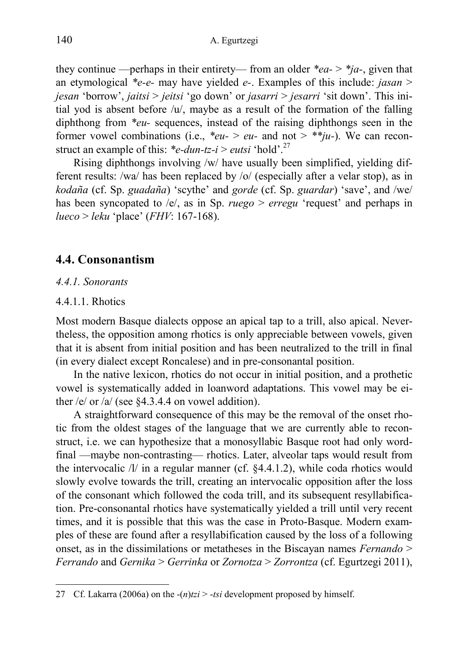they continue —perhaps in their entirety— from an older  $*ea \rightarrow *ja$ -, given that an etymological *\*e-e-* may have yielded *e-*. Examples of this include: *jasan* > *jesan* 'borrow', *jaitsi* > *jeitsi* 'go down' or *jasarri* > *jesarri* 'sit down'. This initial yod is absent before /u/, maybe as a result of the formation of the falling diphthong from *\*eu-* sequences, instead of the raising diphthongs seen in the former vowel combinations (i.e.,  $*eu - > eu -$  and not  $> *iu$ -). We can reconstruct an example of this: *\*e-dun-tz-i* > *eutsi* 'hold'.<sup>27</sup>

Rising diphthongs involving /w/ have usually been simplified, yielding different results: /wa/ has been replaced by /o/ (especially after a velar stop), as in *kodaña* (cf. Sp. *guadaña*) 'scythe' and *gorde* (cf. Sp. *guardar*) 'save', and /we/ has been syncopated to /e/, as in Sp. *ruego* > *erregu* 'request' and perhaps in *lueco* > *leku* 'place' (*FHV*: 167-168).

# **4.4. Consonantism**

#### *4.4.1. Sonorants*

#### 4.4.1.1. Rhotics

 $\overline{a}$ 

Most modern Basque dialects oppose an apical tap to a trill, also apical. Nevertheless, the opposition among rhotics is only appreciable between vowels, given that it is absent from initial position and has been neutralized to the trill in final (in every dialect except Roncalese) and in pre-consonantal position.

In the native lexicon, rhotics do not occur in initial position, and a prothetic vowel is systematically added in loanword adaptations. This vowel may be either /e/ or /a/ (see  $84.3.4.4$  on vowel addition).

A straightforward consequence of this may be the removal of the onset rhotic from the oldest stages of the language that we are currently able to reconstruct, i.e. we can hypothesize that a monosyllabic Basque root had only wordfinal —maybe non-contrasting— rhotics. Later, alveolar taps would result from the intervocalic /l/ in a regular manner (cf. §4.4.1.2), while coda rhotics would slowly evolve towards the trill, creating an intervocalic opposition after the loss of the consonant which followed the coda trill, and its subsequent resyllabification. Pre-consonantal rhotics have systematically yielded a trill until very recent times, and it is possible that this was the case in Proto-Basque. Modern examples of these are found after a resyllabification caused by the loss of a following onset, as in the dissimilations or metatheses in the Biscayan names *Fernando* > *Ferrando* and *Gernika* > *Gerrinka* or *Zornotza* > *Zorrontza* (cf. Egurtzegi 2011),

<sup>27</sup> Cf. Lakarra (2006a) on the -(*n*)*tzi* > -*tsi* development proposed by himself.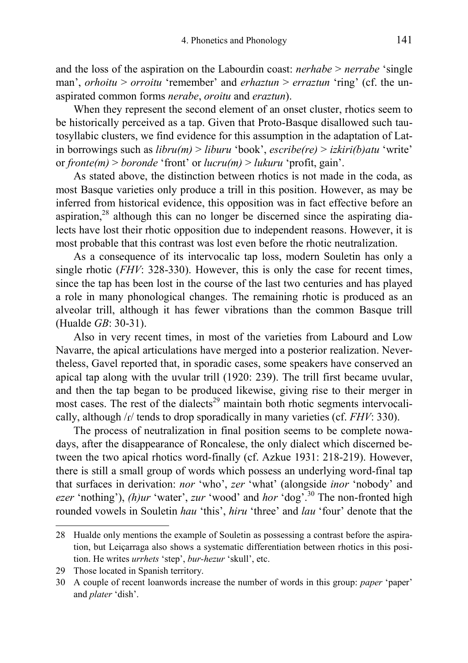and the loss of the aspiration on the Labourdin coast: *nerhabe* > *nerrabe* 'single man', *orhoitu* > *orroitu* 'remember' and *erhaztun* > *erraztun* 'ring' (cf. the unaspirated common forms *nerabe*, *oroitu* and *eraztun*).

When they represent the second element of an onset cluster, rhotics seem to be historically perceived as a tap. Given that Proto-Basque disallowed such tautosyllabic clusters, we find evidence for this assumption in the adaptation of Latin borrowings such as *libru(m)* > *liburu* 'book', *escribe(re)* > *izkiri(b)atu* 'write' or *fronte(m)* > *boronde* 'front' or *lucru(m)* > *lukuru* 'profit, gain'.

As stated above, the distinction between rhotics is not made in the coda, as most Basque varieties only produce a trill in this position. However, as may be inferred from historical evidence, this opposition was in fact effective before an aspiration, $^{28}$  although this can no longer be discerned since the aspirating dialects have lost their rhotic opposition due to independent reasons. However, it is most probable that this contrast was lost even before the rhotic neutralization.

As a consequence of its intervocalic tap loss, modern Souletin has only a single rhotic (*FHV*: 328-330). However, this is only the case for recent times, since the tap has been lost in the course of the last two centuries and has played a role in many phonological changes. The remaining rhotic is produced as an alveolar trill, although it has fewer vibrations than the common Basque trill (Hualde *GB*: 30-31).

Also in very recent times, in most of the varieties from Labourd and Low Navarre, the apical articulations have merged into a posterior realization. Nevertheless, Gavel reported that, in sporadic cases, some speakers have conserved an apical tap along with the uvular trill (1920: 239). The trill first became uvular, and then the tap began to be produced likewise, giving rise to their merger in most cases. The rest of the dialects<sup>29</sup> maintain both rhotic segments intervocalically, although / r/ tends to drop sporadically in many varieties (cf. *FHV*: 330).

The process of neutralization in final position seems to be complete nowadays, after the disappearance of Roncalese, the only dialect which discerned between the two apical rhotics word-finally (cf. Azkue 1931: 218-219). However, there is still a small group of words which possess an underlying word-final tap that surfaces in derivation: *nor* 'who', *zer* 'what' (alongside *inor* 'nobody' and *ezer* 'nothing'), *(h)ur* 'water', *zur* 'wood' and *hor* 'dog'.<sup>30</sup> The non-fronted high rounded vowels in Souletin *hau* 'this', *hiru* 'three' and *lau* 'four' denote that the

<sup>28</sup> Hualde only mentions the example of Souletin as possessing a contrast before the aspiration, but Leiçarraga also shows a systematic differentiation between rhotics in this position. He writes *urrhets* 'step', *bur-hezur* 'skull', etc.

<sup>29</sup> Those located in Spanish territory.

<sup>30</sup> A couple of recent loanwords increase the number of words in this group: *paper* 'paper' and *plater* 'dish'.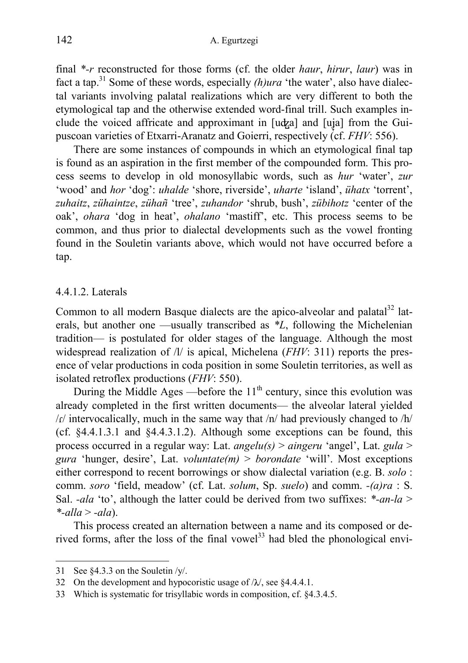final *\*-r* reconstructed for those forms (cf. the older *haur*, *hirur*, *laur*) was in fact a tap.<sup>31</sup> Some of these words, especially *(h)ura* 'the water', also have dialectal variants involving palatal realizations which are very different to both the etymological tap and the otherwise extended word-final trill. Such examples include the voiced affricate and approximant in [udza] and [uja] from the Guipuscoan varieties of Etxarri-Aranatz and Goierri, respectively (cf. *FHV*: 556).

There are some instances of compounds in which an etymological final tap is found as an aspiration in the first member of the compounded form. This process seems to develop in old monosyllabic words, such as *hur* 'water', *zur* 'wood' and *hor* 'dog': *uhalde* 'shore, riverside', *uharte* 'island', *ühatx* 'torrent', *zuhaitz*, *zühaintze*, *zühañ* 'tree', *zuhandor* 'shrub, bush', *zübihotz* 'center of the oak', *ohara* 'dog in heat', *ohalano* 'mastiff', etc. This process seems to be common, and thus prior to dialectal developments such as the vowel fronting found in the Souletin variants above, which would not have occurred before a tap.

#### 4.4.1.2. Laterals

Common to all modern Basque dialects are the apico-alveolar and palatal $32$  laterals, but another one —usually transcribed as *\*L*, following the Michelenian tradition— is postulated for older stages of the language. Although the most widespread realization of  $\Lambda$ / is apical, Michelena (*FHV*: 311) reports the presence of velar productions in coda position in some Souletin territories, as well as isolated retroflex productions (*FHV*: 550).

During the Middle Ages —before the  $11<sup>th</sup>$  century, since this evolution was already completed in the first written documents— the alveolar lateral yielded  $/$ f intervocalically, much in the same way that  $/$ n $/$  had previously changed to  $/$ h $/$ (cf. §4.4.1.3.1 and §4.4.3.1.2). Although some exceptions can be found, this process occurred in a regular way: Lat. *angelu(s)* > *aingeru* 'angel', Lat. *gula* > *gura* 'hunger, desire', Lat. *voluntate(m)* > *borondate* 'will'. Most exceptions either correspond to recent borrowings or show dialectal variation (e.g. B. *solo* : comm. *soro* 'field, meadow' (cf. Lat. *solum*, Sp. *suelo*) and comm. *-(a)ra* : S. Sal. *-ala* 'to', although the latter could be derived from two suffixes: *\*-an-la* > *\*-alla* > *-ala*).

This process created an alternation between a name and its composed or derived forms, after the loss of the final vowel<sup>33</sup> had bled the phonological envi-

<sup>31</sup> See §4.3.3 on the Souletin /y/.

<sup>32</sup> On the development and hypocoristic usage of  $/N$ , see  $84.4.4.1$ .

<sup>33</sup> Which is systematic for trisyllabic words in composition, cf. §4.3.4.5.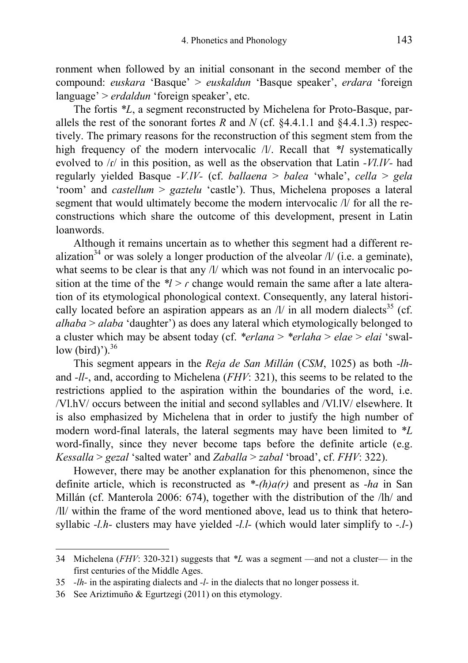ronment when followed by an initial consonant in the second member of the compound: *euskara* 'Basque' > *euskaldun* 'Basque speaker', *erdara* 'foreign language' > *erdaldun* 'foreign speaker', etc.

The fortis *\*L*, a segment reconstructed by Michelena for Proto-Basque, parallels the rest of the sonorant fortes *R* and *N* (cf. §4.4.1.1 and §4.4.1.3) respectively. The primary reasons for the reconstruction of this segment stem from the high frequency of the modern intervocalic /l/. Recall that *\*l* systematically evolved to  $/r/$  in this position, as well as the observation that Latin *-Vl.lV*- had regularly yielded Basque *-V.lV-* (cf. *ballaena* > *balea* 'whale', *cella* > *gela* 'room' and *castellum* > *gaztelu* 'castle'). Thus, Michelena proposes a lateral segment that would ultimately become the modern intervocalic /l/ for all the reconstructions which share the outcome of this development, present in Latin loanwords.

Although it remains uncertain as to whether this segment had a different realization<sup>34</sup> or was solely a longer production of the alveolar  $\frac{1}{i}$  (i.e. a geminate), what seems to be clear is that any  $\frac{1}{1}$  which was not found in an intervocalic position at the time of the  $*l > r$  change would remain the same after a late alteration of its etymological phonological context. Consequently, any lateral historically located before an aspiration appears as an  $/l$  in all modern dialects<sup>35</sup> (cf. *alhaba* > *alaba* 'daughter') as does any lateral which etymologically belonged to a cluster which may be absent today (cf. *\*erlana* > *\*erlaha* > *elae* > *elai* 'swallow  $(bird)$ <sup>36</sup>

This segment appears in the *Reja de San Millán* (*CSM*, 1025) as both *-lh*and *-ll-*, and, according to Michelena (*FHV*: 321), this seems to be related to the restrictions applied to the aspiration within the boundaries of the word, i.e. /Vl.hV/ occurs between the initial and second syllables and /Vl.lV/ elsewhere. It is also emphasized by Michelena that in order to justify the high number of modern word-final laterals, the lateral segments may have been limited to *\*L* word-finally, since they never become taps before the definite article (e.g. *Kessalla* > *gezal* 'salted water' and *Zaballa* > *zabal* 'broad', cf. *FHV*: 322).

However, there may be another explanation for this phenomenon, since the definite article, which is reconstructed as *\*-(h)a(r)* and present as *-ha* in San Millán (cf. Manterola 2006: 674), together with the distribution of the /lh/ and /ll/ within the frame of the word mentioned above, lead us to think that heterosyllabic *-l.h-* clusters may have yielded *-l.l-* (which would later simplify to *-.l-*)

<sup>34</sup> Michelena (*FHV*: 320-321) suggests that *\*L* was a segment —and not a cluster— in the first centuries of the Middle Ages.

<sup>35</sup> *-lh-* in the aspirating dialects and *-l-* in the dialects that no longer possess it.

<sup>36</sup> See Ariztimuño & Egurtzegi (2011) on this etymology.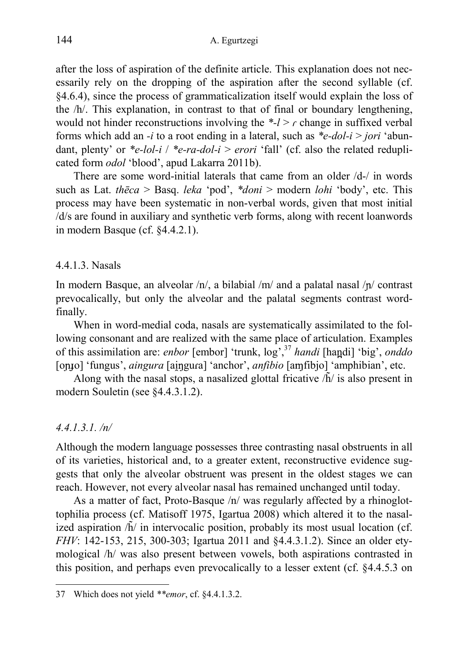after the loss of aspiration of the definite article. This explanation does not necessarily rely on the dropping of the aspiration after the second syllable (cf. §4.6.4), since the process of grammaticalization itself would explain the loss of the /h/. This explanation, in contrast to that of final or boundary lengthening, would not hinder reconstructions involving the  $\ell$ -l > change in suffixed verbal forms which add an *-i* to a root ending in a lateral, such as *\*e-dol-i* > *jori* 'abundant, plenty' or *\*e-lol-i* / *\*e-ra-dol-i* > *erori* 'fall' (cf. also the related reduplicated form *odol* 'blood', apud Lakarra 2011b).

There are some word-initial laterals that came from an older  $/d$ -/ in words such as Lat. *th ca* > Basq. *leka* 'pod', *\*doni* > modern *lohi* 'body', etc. This process may have been systematic in non-verbal words, given that most initial /d/s are found in auxiliary and synthetic verb forms, along with recent loanwords in modern Basque (cf. §4.4.2.1).

#### 4.4.1.3. Nasals

In modern Basque, an alveolar  $/n/$ , a bilabial  $/m/$  and a palatal nasal  $/n/$  contrast prevocalically, but only the alveolar and the palatal segments contrast wordfinally.

When in word-medial coda, nasals are systematically assimilated to the following consonant and are realized with the same place of articulation. Examples of this assimilation are: *enbor* [embor] 'trunk, log',<sup>37</sup> *handi* [handi] 'big', *onddo* [onto] 'fungus', *aingura* [aingura] 'anchor', *anfibio* [amfibio] 'amphibian', etc.

Along with the nasal stops, a nasalized glottal fricative  $\tilde{h}$  is also present in modern Souletin (see §4.4.3.1.2).

#### *4.4.1.3.1. /n/*

 $\overline{a}$ 

Although the modern language possesses three contrasting nasal obstruents in all of its varieties, historical and, to a greater extent, reconstructive evidence suggests that only the alveolar obstruent was present in the oldest stages we can reach. However, not every alveolar nasal has remained unchanged until today.

As a matter of fact, Proto-Basque /n/ was regularly affected by a rhinoglottophilia process (cf. Matisoff 1975, Igartua 2008) which altered it to the nasalized aspiration /h/ in intervocalic position, probably its most usual location (cf. *FHV*: 142-153, 215, 300-303; Igartua 2011 and §4.4.3.1.2). Since an older etymological /h/ was also present between vowels, both aspirations contrasted in this position, and perhaps even prevocalically to a lesser extent (cf. §4.4.5.3 on

<sup>37</sup> Which does not yield *\*\*emor*, cf. §4.4.1.3.2.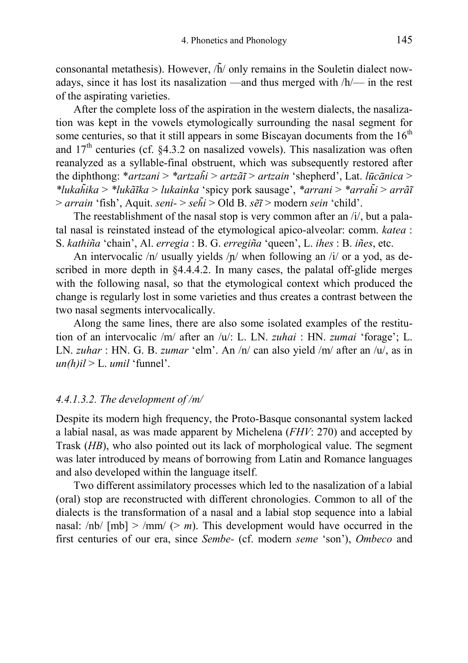consonantal metathesis). However,  $\langle \tilde{h} \rangle$  only remains in the Souletin dialect nowadays, since it has lost its nasalization —and thus merged with /h/— in the rest of the aspirating varieties.

After the complete loss of the aspiration in the western dialects, the nasalization was kept in the vowels etymologically surrounding the nasal segment for some centuries, so that it still appears in some Biscayan documents from the  $16<sup>th</sup>$ and  $17<sup>th</sup>$  centuries (cf. §4.3.2 on nasalized vowels). This nasalization was often reanalyzed as a syllable-final obstruent, which was subsequently restored after the diphthong:  $*$ *artzani* >  $*$ *artzahi* > *artzãi* > *artzain* 'shepherd', Lat. *lūcānica* > *\*lukahika* > *\*lukã ka* > *lukainka* 'spicy pork sausage', *\*arrani* > *\*arrahi* > *arrã* > *arrain* 'fish', Aquit. *seni-* > *sehi* > Old B. *s* > modern *sein* 'child'.

The reestablishment of the nasal stop is very common after an /i/, but a palatal nasal is reinstated instead of the etymological apico-alveolar: comm. *katea* : S. *kathiña* 'chain', Al. *erregia* : B. G. *erregiña* 'queen', L. *ihes* : B. *iñes*, etc.

An intervocalic  $/n/$  usually yields  $/p/$  when following an  $/i/$  or a yod, as described in more depth in §4.4.4.2. In many cases, the palatal off-glide merges with the following nasal, so that the etymological context which produced the change is regularly lost in some varieties and thus creates a contrast between the two nasal segments intervocalically.

Along the same lines, there are also some isolated examples of the restitution of an intervocalic /m/ after an /u/: L. LN. *zuhai* : HN. *zumai* 'forage'; L. LN. *zuhar* : HN. G. B. *zumar* 'elm'. An /n/ can also yield /m/ after an /u/, as in  $un(h)$ *il* > L. *umil* 'funnel'.

#### *4.4.1.3.2. The development of /m/*

Despite its modern high frequency, the Proto-Basque consonantal system lacked a labial nasal, as was made apparent by Michelena (*FHV*: 270) and accepted by Trask (*HB*), who also pointed out its lack of morphological value. The segment was later introduced by means of borrowing from Latin and Romance languages and also developed within the language itself.

Two different assimilatory processes which led to the nasalization of a labial (oral) stop are reconstructed with different chronologies. Common to all of the dialects is the transformation of a nasal and a labial stop sequence into a labial nasal:  $n\pi$  [mb] >  $\pi$  /mm/ (> *m*). This development would have occurred in the first centuries of our era, since *Sembe-* (cf. modern *seme* 'son'), *Ombeco* and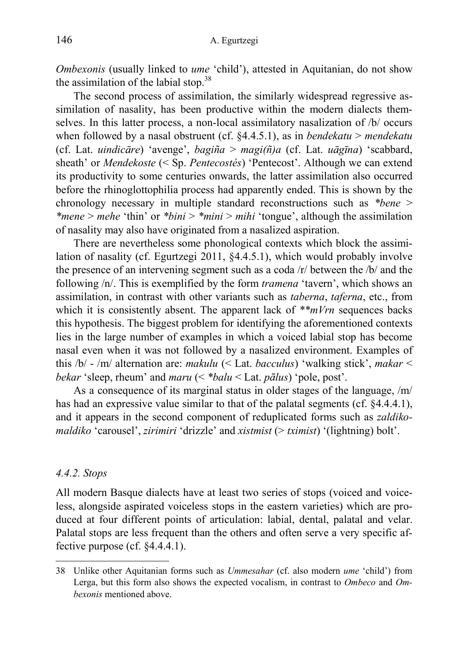*Ombexonis* (usually linked to *ume* 'child'), attested in Aquitanian, do not show the assimilation of the labial stop.<sup>38</sup>

The second process of assimilation, the similarly widespread regressive assimilation of nasality, has been productive within the modern dialects themselves. In this latter process, a non-local assimilatory nasalization of /b/ occurs when followed by a nasal obstruent (cf. §4.4.5.1), as in *bendekatu* > *mendekatu* (cf. Lat. *uindic re*) 'avenge', *bagiña* > *magi(ñ)a* (cf. Lat. *u g na*) 'scabbard, sheath' or *Mendekoste* (< Sp. *Pentecostés*) 'Pentecost'. Although we can extend its productivity to some centuries onwards, the latter assimilation also occurred before the rhinoglottophilia process had apparently ended. This is shown by the chronology necessary in multiple standard reconstructions such as *\*bene* > *\*mene* > *mehe* 'thin' or *\*bini* > *\*mini* > *mihi* 'tongue', although the assimilation of nasality may also have originated from a nasalized aspiration.

There are nevertheless some phonological contexts which block the assimilation of nasality (cf. Egurtzegi 2011, §4.4.5.1), which would probably involve the presence of an intervening segment such as a coda /r/ between the /b/ and the following /n/. This is exemplified by the form *tramena* 'tavern', which shows an assimilation, in contrast with other variants such as *taberna*, *taferna*, etc., from which it is consistently absent. The apparent lack of  $*mVrn$  sequences backs this hypothesis. The biggest problem for identifying the aforementioned contexts lies in the large number of examples in which a voiced labial stop has become nasal even when it was not followed by a nasalized environment. Examples of this /b/ - /m/ alternation are: *makulu* (< Lat. *bacculus*) 'walking stick', *makar* < *bekar* 'sleep, rheum' and *maru* ( $\lt$  \**balu*  $\lt$  Lat. *pālus*) 'pole, post'.

As a consequence of its marginal status in older stages of the language, /m/ has had an expressive value similar to that of the palatal segments (cf. §4.4.4.1), and it appears in the second component of reduplicated forms such as *zaldikomaldiko* 'carousel', *zirimiri* 'drizzle' and *xistmist* (> *tximist*) '(lightning) bolt'.

#### *4.4.2. Stops*

 $\overline{a}$ 

All modern Basque dialects have at least two series of stops (voiced and voiceless, alongside aspirated voiceless stops in the eastern varieties) which are produced at four different points of articulation: labial, dental, palatal and velar. Palatal stops are less frequent than the others and often serve a very specific affective purpose (cf. §4.4.4.1).

<sup>38</sup> Unlike other Aquitanian forms such as *Ummesahar* (cf. also modern *ume* 'child') from Lerga, but this form also shows the expected vocalism, in contrast to *Ombeco* and *Ombexonis* mentioned above.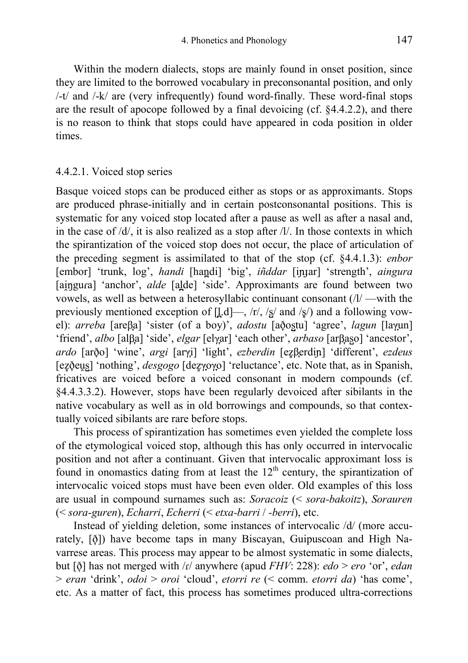Within the modern dialects, stops are mainly found in onset position, since they are limited to the borrowed vocabulary in preconsonantal position, and only /-t/ and /-k/ are (very infrequently) found word-finally. These word-final stops are the result of apocope followed by a final devoicing (cf. §4.4.2.2), and there is no reason to think that stops could have appeared in coda position in older times.

#### 4.4.2.1. Voiced stop series

Basque voiced stops can be produced either as stops or as approximants. Stops are produced phrase-initially and in certain postconsonantal positions. This is systematic for any voiced stop located after a pause as well as after a nasal and, in the case of /d/, it is also realized as a stop after /l/. In those contexts in which the spirantization of the voiced stop does not occur, the place of articulation of the preceding segment is assimilated to that of the stop (cf. §4.4.1.3): *enbor* [embor] 'trunk,  $log'$ , *handi* [handi] 'big', *iñddar* [intar] 'strength', *aingura* [aingura] 'anchor', *alde* [alde] 'side'. Approximants are found between two vowels, as well as between a heterosyllabic continuant consonant (/l/ —with the previously mentioned exception of  $[1, d]$ —, /r/, /s/ and /s/) and a following vowel): *arreba* [are $\beta$ a] 'sister (of a boy)', *adostu* [a $\delta$ ostu] 'agree', *lagun* [layun] 'friend', *albo* [al $\beta$ a] 'side', *elgar* [elyar] 'each other', *arbaso* [ar $\beta$ aso] 'ancestor', *ardo* [arðo] 'wine', *argi* [aryi] 'light', *ezberdin* [ezßerdin] 'different', *ezdeus* [ezðeus] 'nothing', *desgogo* [dezvovo] 'reluctance', etc. Note that, as in Spanish, fricatives are voiced before a voiced consonant in modern compounds (cf. §4.4.3.3.2). However, stops have been regularly devoiced after sibilants in the native vocabulary as well as in old borrowings and compounds, so that contextually voiced sibilants are rare before stops.

This process of spirantization has sometimes even yielded the complete loss of the etymological voiced stop, although this has only occurred in intervocalic position and not after a continuant. Given that intervocalic approximant loss is found in onomastics dating from at least the  $12<sup>th</sup>$  century, the spirantization of intervocalic voiced stops must have been even older. Old examples of this loss are usual in compound surnames such as: *Soracoiz* (< *sora-bakoitz*), *Sorauren* (< *sora-guren*), *Echarri*, *Echerri* (< *etxa-barri* / *-berri*), etc.

Instead of yielding deletion, some instances of intervocalic /d/ (more accurately, [ð]) have become taps in many Biscayan, Guipuscoan and High Navarrese areas. This process may appear to be almost systematic in some dialects, but [ $\delta$ ] has not merged with / $\epsilon$ / anywhere (apud *FHV*: 228): *edo* > *ero* 'or', *edan* > *eran* 'drink', *odoi* > *oroi* 'cloud', *etorri re* (< comm. *etorri da*) 'has come', etc. As a matter of fact, this process has sometimes produced ultra-corrections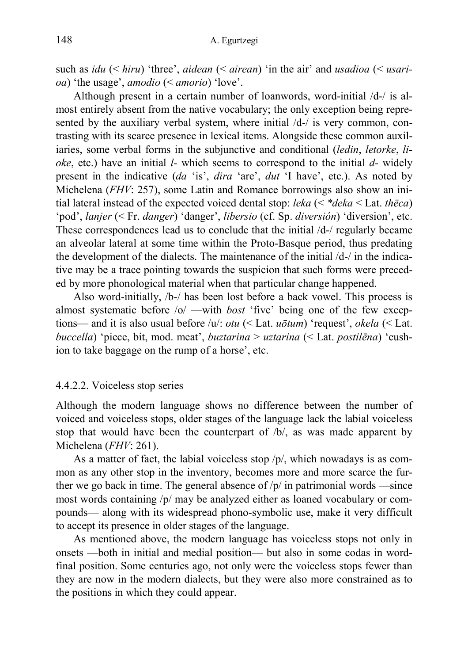such as *idu* (< *hiru*) 'three', *aidean* (< *airean*) 'in the air' and *usadioa* (< *usarioa*) 'the usage', *amodio* (< *amorio*) 'love'.

Although present in a certain number of loanwords, word-initial /d-/ is almost entirely absent from the native vocabulary; the only exception being represented by the auxiliary verbal system, where initial /d-/ is very common, contrasting with its scarce presence in lexical items. Alongside these common auxiliaries, some verbal forms in the subjunctive and conditional (*ledin*, *letorke*, *lioke*, etc.) have an initial *l-* which seems to correspond to the initial *d-* widely present in the indicative (*da* 'is', *dira* 'are', *dut* 'I have', etc.). As noted by Michelena (*FHV*: 257), some Latin and Romance borrowings also show an initial lateral instead of the expected voiced dental stop: *leka* (< *\*deka* < Lat. *th ca*) 'pod', *lanjer* (< Fr. *danger*) 'danger', *libersio* (cf. Sp. *diversión*) 'diversion', etc. These correspondences lead us to conclude that the initial /d-/ regularly became an alveolar lateral at some time within the Proto-Basque period, thus predating the development of the dialects. The maintenance of the initial /d-/ in the indicative may be a trace pointing towards the suspicion that such forms were preceded by more phonological material when that particular change happened.

Also word-initially, /b-/ has been lost before a back vowel. This process is almost systematic before /o/ —with *bost* 'five' being one of the few exceptions— and it is also usual before /u/: *otu* (< Lat. *uotum*) 'request', *okela* (< Lat. *buccella*) 'piece, bit, mod. meat', *buztarina* > *uztarina* (< Lat. *postilena*) 'cushion to take baggage on the rump of a horse', etc.

#### 4.4.2.2. Voiceless stop series

Although the modern language shows no difference between the number of voiced and voiceless stops, older stages of the language lack the labial voiceless stop that would have been the counterpart of /b/, as was made apparent by Michelena (*FHV*: 261).

As a matter of fact, the labial voiceless stop /p/, which nowadays is as common as any other stop in the inventory, becomes more and more scarce the further we go back in time. The general absence of  $/p/$  in patrimonial words —since most words containing /p/ may be analyzed either as loaned vocabulary or compounds— along with its widespread phono-symbolic use, make it very difficult to accept its presence in older stages of the language.

As mentioned above, the modern language has voiceless stops not only in onsets —both in initial and medial position— but also in some codas in wordfinal position. Some centuries ago, not only were the voiceless stops fewer than they are now in the modern dialects, but they were also more constrained as to the positions in which they could appear.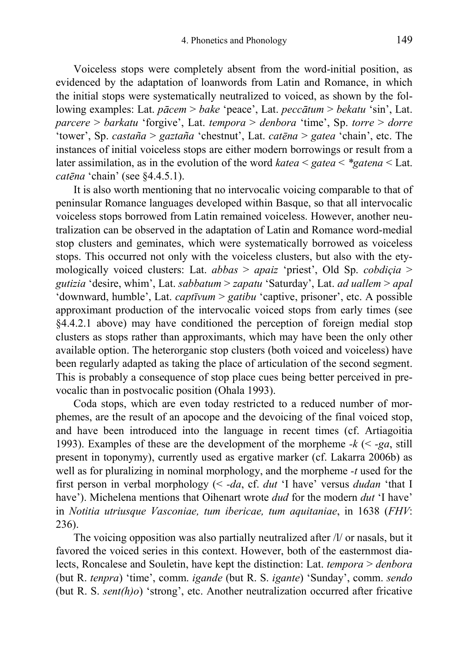Voiceless stops were completely absent from the word-initial position, as evidenced by the adaptation of loanwords from Latin and Romance, in which the initial stops were systematically neutralized to voiced, as shown by the following examples: Lat. *p* $\bar{a}$ *cem* > *bake* 'peace', Lat. *pecc* $\bar{a}$ *tum* > *bekatu* 'sin', Lat. *parcere* > *barkatu* 'forgive', Lat. *tempora* > *denbora* 'time', Sp. *torre* > *dorre* 'tower', Sp. *castaña* > *gaztaña* 'chestnut', Lat. *catēna* > *gatea* 'chain', etc. The instances of initial voiceless stops are either modern borrowings or result from a later assimilation, as in the evolution of the word *katea* < *gatea* < *\*gatena* < Lat. *catēna* 'chain' (see §4.4.5.1).

It is also worth mentioning that no intervocalic voicing comparable to that of peninsular Romance languages developed within Basque, so that all intervocalic voiceless stops borrowed from Latin remained voiceless. However, another neutralization can be observed in the adaptation of Latin and Romance word-medial stop clusters and geminates, which were systematically borrowed as voiceless stops. This occurred not only with the voiceless clusters, but also with the etymologically voiced clusters: Lat. *abbas* > *apaiz* 'priest', Old Sp. *cobdiçia* > *gutizia* 'desire, whim', Lat. *sabbatum* > *zapatu* 'Saturday', Lat. *ad uallem* > *apal* 'downward, humble', Lat. *captivum* > *gatibu* 'captive, prisoner', etc. A possible approximant production of the intervocalic voiced stops from early times (see §4.4.2.1 above) may have conditioned the perception of foreign medial stop clusters as stops rather than approximants, which may have been the only other available option. The heterorganic stop clusters (both voiced and voiceless) have been regularly adapted as taking the place of articulation of the second segment. This is probably a consequence of stop place cues being better perceived in prevocalic than in postvocalic position (Ohala 1993).

Coda stops, which are even today restricted to a reduced number of morphemes, are the result of an apocope and the devoicing of the final voiced stop, and have been introduced into the language in recent times (cf. Artiagoitia 1993). Examples of these are the development of the morpheme *-k* (< *-ga*, still present in toponymy), currently used as ergative marker (cf. Lakarra 2006b) as well as for pluralizing in nominal morphology, and the morpheme *-t* used for the first person in verbal morphology (< *-da*, cf. *dut* 'I have' versus *dudan* 'that I have'). Michelena mentions that Oihenart wrote *dud* for the modern *dut* 'I have' in *Notitia utriusque Vasconiae, tum ibericae, tum aquitaniae*, in 1638 (*FHV*: 236).

The voicing opposition was also partially neutralized after /l/ or nasals, but it favored the voiced series in this context. However, both of the easternmost dialects, Roncalese and Souletin, have kept the distinction: Lat. *tempora* > *denbora* (but R. *tenpra*) 'time', comm. *igande* (but R. S. *igante*) 'Sunday', comm. *sendo* (but R. S. *sent(h)o*) 'strong', etc. Another neutralization occurred after fricative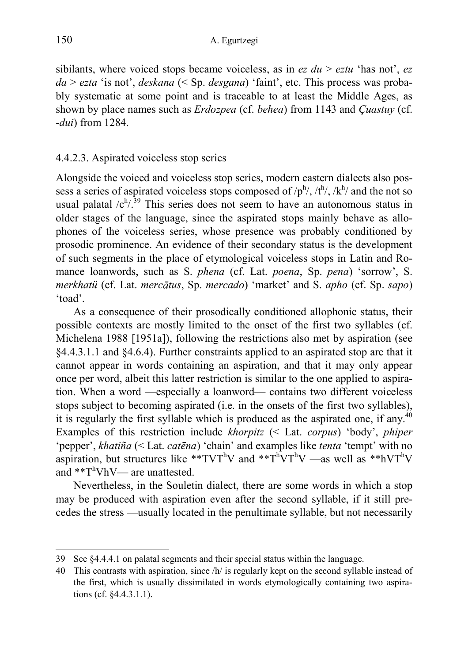sibilants, where voiced stops became voiceless, as in *ez du* > *eztu* 'has not', *ez da* > *ezta* 'is not', *deskana* (< Sp. *desgana*) 'faint', etc. This process was probably systematic at some point and is traceable to at least the Middle Ages, as shown by place names such as *Erdozpea* (cf. *behea*) from 1143 and *Çuastuy* (cf. *-dui*) from 1284.

#### 4.4.2.3. Aspirated voiceless stop series

Alongside the voiced and voiceless stop series, modern eastern dialects also possess a series of aspirated voiceless stops composed of  $/p^h/$ ,  $/t^h/$ ,  $/k^h/$  and the not so usual palatal  $\langle c^h \rangle^{39}$  This series does not seem to have an autonomous status in older stages of the language, since the aspirated stops mainly behave as allophones of the voiceless series, whose presence was probably conditioned by prosodic prominence. An evidence of their secondary status is the development of such segments in the place of etymological voiceless stops in Latin and Romance loanwords, such as S. *phena* (cf. Lat. *poena*, Sp. *pena*) 'sorrow', S. *merkhatü* (cf. Lat. *merc tus*, Sp. *mercado*) 'market' and S. *apho* (cf. Sp. *sapo*) 'toad'.

As a consequence of their prosodically conditioned allophonic status, their possible contexts are mostly limited to the onset of the first two syllables (cf. Michelena 1988 [1951a]), following the restrictions also met by aspiration (see §4.4.3.1.1 and §4.6.4). Further constraints applied to an aspirated stop are that it cannot appear in words containing an aspiration, and that it may only appear once per word, albeit this latter restriction is similar to the one applied to aspiration. When a word —especially a loanword— contains two different voiceless stops subject to becoming aspirated (i.e. in the onsets of the first two syllables), it is regularly the first syllable which is produced as the aspirated one, if any.<sup>40</sup> Examples of this restriction include *khorpitz* (< Lat. *corpus*) 'body', *phiper* 'pepper', *khatiña* (< Lat. *catēna*) 'chain' and examples like *tenta* 'tempt' with no aspiration, but structures like \*\*TVT<sup>h</sup>V and \*\*T<sup>h</sup>VT<sup>h</sup>V —as well as \*\*hVT<sup>h</sup>V and  $*$ <sup>+\*Th</sup>VhV— are unattested.

Nevertheless, in the Souletin dialect, there are some words in which a stop may be produced with aspiration even after the second syllable, if it still precedes the stress —usually located in the penultimate syllable, but not necessarily

<sup>39</sup> See §4.4.4.1 on palatal segments and their special status within the language.

<sup>40</sup> This contrasts with aspiration, since /h/ is regularly kept on the second syllable instead of the first, which is usually dissimilated in words etymologically containing two aspirations (cf. §4.4.3.1.1).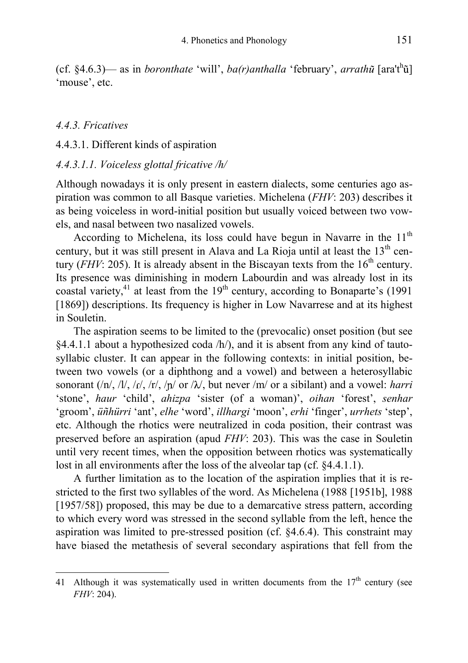(cf. §4.6.3)— as in *boronthate* 'will', *ba(r)anthalla* 'february', *arrathū* [ara't<sup>h</sup>ū] 'mouse', etc.

#### *4.4.3. Fricatives*

 $\overline{a}$ 

#### 4.4.3.1. Different kinds of aspiration

#### *4.4.3.1.1. Voiceless glottal fricative /h/*

Although nowadays it is only present in eastern dialects, some centuries ago aspiration was common to all Basque varieties. Michelena (*FHV*: 203) describes it as being voiceless in word-initial position but usually voiced between two vowels, and nasal between two nasalized vowels.

According to Michelena, its loss could have begun in Navarre in the  $11<sup>th</sup>$ century, but it was still present in Alava and La Rioja until at least the  $13<sup>th</sup>$  century ( $FHV$ : 205). It is already absent in the Biscayan texts from the  $16<sup>th</sup>$  century. Its presence was diminishing in modern Labourdin and was already lost in its coastal variety, $^{41}$  at least from the 19<sup>th</sup> century, according to Bonaparte's (1991) [1869]) descriptions. Its frequency is higher in Low Navarrese and at its highest in Souletin.

The aspiration seems to be limited to the (prevocalic) onset position (but see §4.4.1.1 about a hypothesized coda /h/), and it is absent from any kind of tautosyllabic cluster. It can appear in the following contexts: in initial position, between two vowels (or a diphthong and a vowel) and between a heterosyllabic sonorant  $(\frac{h}{h}, \frac{h}{h}, \frac{h}{h}, \frac{h}{h})$  or  $\lambda$ , but never  $\lambda$  or a sibilant) and a vowel: *harri* 'stone', *haur* 'child', *ahizpa* 'sister (of a woman)', *oihan* 'forest', *senhar* 'groom', *üñhürri* 'ant', *elhe* 'word', *illhargi* 'moon', *erhi* 'finger', *urrhets* 'step', etc. Although the rhotics were neutralized in coda position, their contrast was preserved before an aspiration (apud *FHV*: 203). This was the case in Souletin until very recent times, when the opposition between rhotics was systematically lost in all environments after the loss of the alveolar tap (cf. §4.4.1.1).

A further limitation as to the location of the aspiration implies that it is restricted to the first two syllables of the word. As Michelena (1988 [1951b], 1988 [1957/58]) proposed, this may be due to a demarcative stress pattern, according to which every word was stressed in the second syllable from the left, hence the aspiration was limited to pre-stressed position (cf. §4.6.4). This constraint may have biased the metathesis of several secondary aspirations that fell from the

<sup>41</sup> Although it was systematically used in written documents from the  $17<sup>th</sup>$  century (see *FHV*: 204).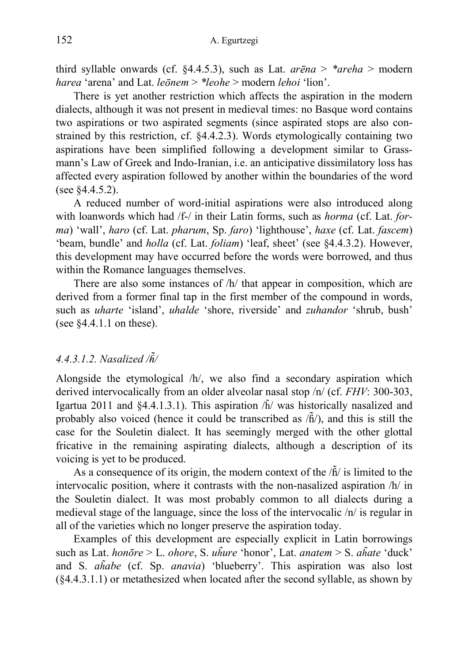third syllable onwards (cf.  $\S 4.4.5.3$ ), such as Lat. *arena* > \**areha* > modern *harea* 'arena' and Lat. *le nem* > *\*leohe* > modern *lehoi* 'lion'.

There is yet another restriction which affects the aspiration in the modern dialects, although it was not present in medieval times: no Basque word contains two aspirations or two aspirated segments (since aspirated stops are also constrained by this restriction, cf. §4.4.2.3). Words etymologically containing two aspirations have been simplified following a development similar to Grassmann's Law of Greek and Indo-Iranian, i.e. an anticipative dissimilatory loss has affected every aspiration followed by another within the boundaries of the word (see §4.4.5.2).

A reduced number of word-initial aspirations were also introduced along with loanwords which had /f-/ in their Latin forms, such as *horma* (cf. Lat. *forma*) 'wall', *haro* (cf. Lat. *pharum*, Sp. *faro*) 'lighthouse', *haxe* (cf. Lat. *fascem*) 'beam, bundle' and *holla* (cf. Lat. *foliam*) 'leaf, sheet' (see §4.4.3.2). However, this development may have occurred before the words were borrowed, and thus within the Romance languages themselves.

There are also some instances of /h/ that appear in composition, which are derived from a former final tap in the first member of the compound in words, such as *uharte* 'island', *uhalde* 'shore, riverside' and *zuhandor* 'shrub, bush' (see §4.4.1.1 on these).

# *4.4.3.1.2. Nasalized / /*

Alongside the etymological /h/, we also find a secondary aspiration which derived intervocalically from an older alveolar nasal stop /n/ (cf. *FHV*: 300-303, Igartua 2011 and  $(4.4.1.3.1)$ . This aspiration  $\tilde{h}$  was historically nasalized and probably also voiced (hence it could be transcribed as  $\langle \hat{h} \rangle$ ), and this is still the case for the Souletin dialect. It has seemingly merged with the other glottal fricative in the remaining aspirating dialects, although a description of its voicing is yet to be produced.

As a consequence of its origin, the modern context of the  $\langle \hat{h} \rangle$  is limited to the intervocalic position, where it contrasts with the non-nasalized aspiration /h/ in the Souletin dialect. It was most probably common to all dialects during a medieval stage of the language, since the loss of the intervocalic /n/ is regular in all of the varieties which no longer preserve the aspiration today.

Examples of this development are especially explicit in Latin borrowings such as Lat. *hon re* > L. *ohore*, S. *uhure* 'honor', Lat. *anatem* > S. *ahate* 'duck' and S. *ahabe* (cf. Sp. *anavia*) 'blueberry'. This aspiration was also lost (§4.4.3.1.1) or metathesized when located after the second syllable, as shown by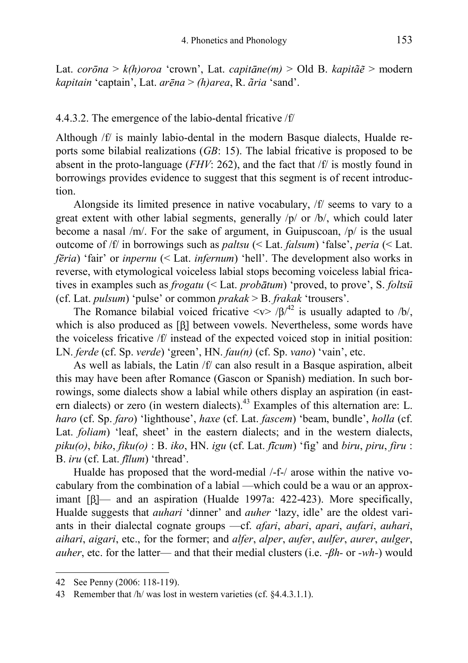Lat. *cor na* > *k(h)oroa* 'crown', Lat. *capit ne(m)* > Old B. *kapitã* > modern *kapitain* 'captain', Lat. *ar na* > *(h)area*, R. *ãria* 'sand'.

### 4.4.3.2. The emergence of the labio-dental fricative /f/

Although /f/ is mainly labio-dental in the modern Basque dialects, Hualde reports some bilabial realizations (*GB*: 15). The labial fricative is proposed to be absent in the proto-language (*FHV*: 262), and the fact that /f/ is mostly found in borrowings provides evidence to suggest that this segment is of recent introduction.

Alongside its limited presence in native vocabulary, /f/ seems to vary to a great extent with other labial segments, generally /p/ or /b/, which could later become a nasal /m/. For the sake of argument, in Guipuscoan, /p/ is the usual outcome of /f/ in borrowings such as *paltsu* (< Lat. *falsum*) 'false', *peria* (< Lat. *f ria*) 'fair' or *inpernu* (< Lat. *infernum*) 'hell'. The development also works in reverse, with etymological voiceless labial stops becoming voiceless labial fricatives in examples such as *frogatu* (< Lat. *probatum*) 'proved, to prove', S. *foltsü* (cf. Lat. *pulsum*) 'pulse' or common *prakak* > B. *frakak* 'trousers'.

The Romance bilabial voiced fricative  $\langle v \rangle / \beta^{2}$  is usually adapted to /b/, which is also produced as  $[\beta]$  between vowels. Nevertheless, some words have the voiceless fricative /f/ instead of the expected voiced stop in initial position: LN. *ferde* (cf. Sp. *verde*) 'green', HN. *fau(n)* (cf. Sp. *vano*) 'vain', etc.

As well as labials, the Latin /f/ can also result in a Basque aspiration, albeit this may have been after Romance (Gascon or Spanish) mediation. In such borrowings, some dialects show a labial while others display an aspiration (in eastern dialects) or zero (in western dialects).<sup>43</sup> Examples of this alternation are: L. *haro* (cf. Sp. *faro*) 'lighthouse', *haxe* (cf. Lat. *fascem*) 'beam, bundle', *holla* (cf. Lat. *foliam*) 'leaf, sheet' in the eastern dialects; and in the western dialects, *piku(o)*, *biko*, *fiku(o)* : B. *iko*, HN. *igu* (cf. Lat. *f cum*) 'fig' and *biru*, *piru*, *firu* : B. *iru* (cf. Lat. *filum*) 'thread'.

Hualde has proposed that the word-medial /-f-/ arose within the native vocabulary from the combination of a labial —which could be a wau or an approximant  $[\beta]$ — and an aspiration (Hualde 1997a: 422-423). More specifically, Hualde suggests that *auhari* 'dinner' and *auher* 'lazy, idle' are the oldest variants in their dialectal cognate groups —cf. *afari*, *abari*, *apari*, *aufari*, *auhari*, *aihari*, *aigari*, etc., for the former; and *alfer*, *alper*, *aufer*, *aulfer*, *aurer*, *aulger*, *auher*, etc. for the latter— and that their medial clusters (i.e.  $-\beta h$ - or  $-wh$ -) would

<sup>42</sup> See Penny (2006: 118-119).

<sup>43</sup> Remember that /h/ was lost in western varieties (cf. §4.4.3.1.1).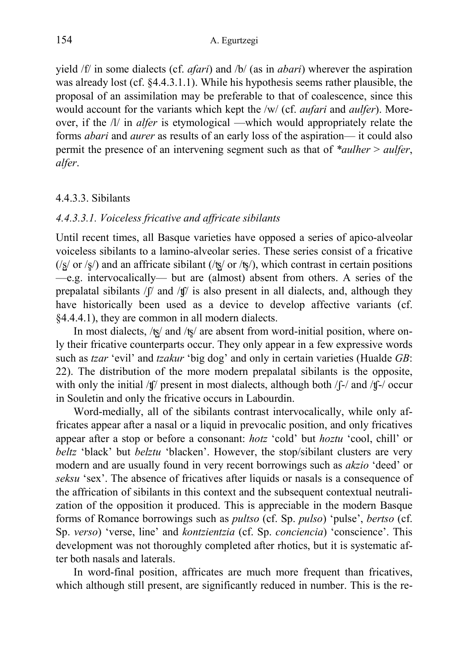yield /f/ in some dialects (cf. *afari*) and /b/ (as in *abari*) wherever the aspiration was already lost (cf. §4.4.3.1.1). While his hypothesis seems rather plausible, the proposal of an assimilation may be preferable to that of coalescence, since this would account for the variants which kept the /w/ (cf. *aufari* and *aulfer*). Moreover, if the /l/ in *alfer* is etymological —which would appropriately relate the forms *abari* and *aurer* as results of an early loss of the aspiration— it could also permit the presence of an intervening segment such as that of *\*aulher* > *aulfer*, *alfer*.

## 4.4.3.3. Sibilants

### *4.4.3.3.1. Voiceless fricative and affricate sibilants*

Until recent times, all Basque varieties have opposed a series of apico-alveolar voiceless sibilants to a lamino-alveolar series. These series consist of a fricative  $(|s| \text{ or } |s|)$  and an affricate sibilant  $(|s| \text{ or } |s|)$ , which contrast in certain positions —e.g. intervocalically— but are (almost) absent from others. A series of the prepalatal sibilants  $/f$  and  $/f$  is also present in all dialects, and, although they have historically been used as a device to develop affective variants (cf. §4.4.4.1), they are common in all modern dialects.

In most dialects,  $\frac{1}{s}$  and  $\frac{1}{s}$  are absent from word-initial position, where only their fricative counterparts occur. They only appear in a few expressive words such as *tzar* 'evil' and *tzakur* 'big dog' and only in certain varieties (Hualde *GB*: 22). The distribution of the more modern prepalatal sibilants is the opposite, with only the initial  $\frac{f(t)}{f}$  present in most dialects, although both  $\frac{f}{f}$  and  $\frac{f(t)}{f}$  occur in Souletin and only the fricative occurs in Labourdin.

Word-medially, all of the sibilants contrast intervocalically, while only affricates appear after a nasal or a liquid in prevocalic position, and only fricatives appear after a stop or before a consonant: *hotz* 'cold' but *hoztu* 'cool, chill' or *beltz* 'black' but *belztu* 'blacken'. However, the stop/sibilant clusters are very modern and are usually found in very recent borrowings such as *akzio* 'deed' or *seksu* 'sex'. The absence of fricatives after liquids or nasals is a consequence of the affrication of sibilants in this context and the subsequent contextual neutralization of the opposition it produced. This is appreciable in the modern Basque forms of Romance borrowings such as *pultso* (cf. Sp. *pulso*) 'pulse', *bertso* (cf. Sp. *verso*) 'verse, line' and *kontzientzia* (cf. Sp. *conciencia*) 'conscience'. This development was not thoroughly completed after rhotics, but it is systematic after both nasals and laterals.

In word-final position, affricates are much more frequent than fricatives, which although still present, are significantly reduced in number. This is the re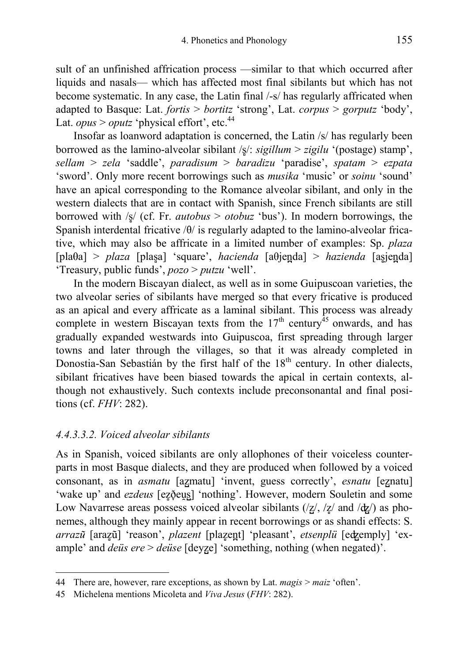sult of an unfinished affrication process —similar to that which occurred after liquids and nasals— which has affected most final sibilants but which has not become systematic. In any case, the Latin final /-s/ has regularly affricated when adapted to Basque: Lat. *fortis* > *bortitz* 'strong', Lat. *corpus* > *gorputz* 'body', Lat. *opus* > *oputz* 'physical effort', etc.<sup>44</sup>

Insofar as loanword adaptation is concerned, the Latin /s/ has regularly been borrowed as the lamino-alveolar sibilant /s/: *sigillum* > *zigilu* '(postage) stamp', *sellam* > *zela* 'saddle', *paradisum* > *baradizu* 'paradise', *spatam* > *ezpata* 'sword'. Only more recent borrowings such as *musika* 'music' or *soinu* 'sound' have an apical corresponding to the Romance alveolar sibilant, and only in the western dialects that are in contact with Spanish, since French sibilants are still borrowed with /s/ (cf. Fr. *autobus* > *otobuz* 'bus'). In modern borrowings, the Spanish interdental fricative  $\theta$  is regularly adapted to the lamino-alveolar fricative, which may also be affricate in a limited number of examples: Sp. *plaza*  $[pla \theta a] > plaza$  [plaşa] 'square', *hacienda* [a $\theta$ jenda] > *hazienda* [asjenda] 'Treasury, public funds', *pozo* > *putzu* 'well'.

In the modern Biscayan dialect, as well as in some Guipuscoan varieties, the two alveolar series of sibilants have merged so that every fricative is produced as an apical and every affricate as a laminal sibilant. This process was already complete in western Biscayan texts from the  $17<sup>th</sup>$  century<sup>45</sup> onwards, and has gradually expanded westwards into Guipuscoa, first spreading through larger towns and later through the villages, so that it was already completed in Donostia-San Sebastián by the first half of the 18<sup>th</sup> century. In other dialects, sibilant fricatives have been biased towards the apical in certain contexts, although not exhaustively. Such contexts include preconsonantal and final positions (cf. *FHV*: 282).

# *4.4.3.3.2. Voiced alveolar sibilants*

 $\overline{a}$ 

As in Spanish, voiced sibilants are only allophones of their voiceless counterparts in most Basque dialects, and they are produced when followed by a voiced consonant, as in *asmatu* [azmatu] 'invent, guess correctly', *esnatu* [eznatu] 'wake up' and *ezdeus* [ezðeus] 'nothing'. However, modern Souletin and some Low Navarrese areas possess voiced alveolar sibilants  $(|z|, |z|)$  and  $|dz|$  as phonemes, although they mainly appear in recent borrowings or as shandi effects: S. *arraz* [arazū] 'reason', *plazent* [plazent] 'pleasant', *etsenplu* [edzemply] 'example' and *deüs ere* > *deüse* [deyze] 'something, nothing (when negated)'.

<sup>44</sup> There are, however, rare exceptions, as shown by Lat. *magis* > *maiz* 'often'.

<sup>45</sup> Michelena mentions Micoleta and *Viva Jesus* (*FHV*: 282).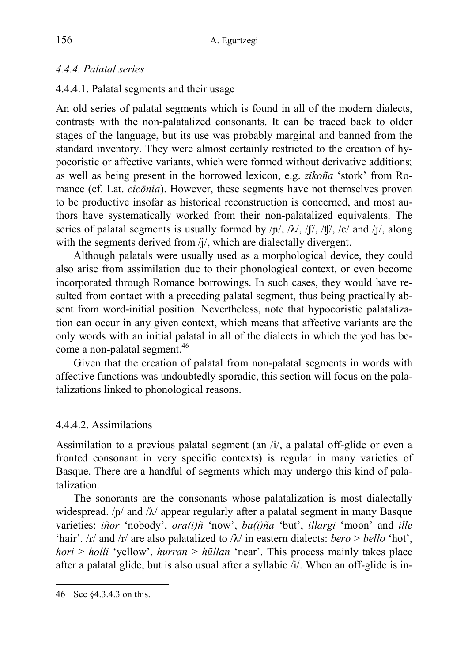# *4.4.4. Palatal series*

# 4.4.4.1. Palatal segments and their usage

An old series of palatal segments which is found in all of the modern dialects, contrasts with the non-palatalized consonants. It can be traced back to older stages of the language, but its use was probably marginal and banned from the standard inventory. They were almost certainly restricted to the creation of hypocoristic or affective variants, which were formed without derivative additions; as well as being present in the borrowed lexicon, e.g. *zikoña* 'stork' from Romance (cf. Lat. *ciconia*). However, these segments have not themselves proven to be productive insofar as historical reconstruction is concerned, and most authors have systematically worked from their non-palatalized equivalents. The series of palatal segments is usually formed by  $/n/$ ,  $/N$ ,  $\int$ ,  $\int$ ,  $\int$ ,  $\int$ ,  $\int$ ,  $\int$ ,  $\int$ ,  $\int$ ,  $\int$ ,  $\int$ ,  $\int$ ,  $\int$ ,  $\int$ ,  $\int$ ,  $\int$ ,  $\int$ ,  $\int$ ,  $\int$ ,  $\int$ ,  $\int$ ,  $\int$ ,  $\int$ ,  $\int$ ,  $\int$ ,  $\int$ ,  $\int$ ,  $\int$ , with the segments derived from /j/, which are dialectally divergent.

Although palatals were usually used as a morphological device, they could also arise from assimilation due to their phonological context, or even become incorporated through Romance borrowings. In such cases, they would have resulted from contact with a preceding palatal segment, thus being practically absent from word-initial position. Nevertheless, note that hypocoristic palatalization can occur in any given context, which means that affective variants are the only words with an initial palatal in all of the dialects in which the yod has become a non-palatal segment.<sup>46</sup>

Given that the creation of palatal from non-palatal segments in words with affective functions was undoubtedly sporadic, this section will focus on the palatalizations linked to phonological reasons.

## 4.4.4.2. Assimilations

Assimilation to a previous palatal segment (an /i/, a palatal off-glide or even a fronted consonant in very specific contexts) is regular in many varieties of Basque. There are a handful of segments which may undergo this kind of palatalization.

The sonorants are the consonants whose palatalization is most dialectally widespread.  $/p /$  and  $N/$  appear regularly after a palatal segment in many Basque varieties: *iñor* 'nobody', *ora(i)ñ* 'now', *ba(i)ña* 'but', *illargi* 'moon' and *ille* 'hair'.  $/r/$  and  $/r/$  are also palatalized to  $/\lambda/$  in eastern dialects: *bero* > *bello* 'hot', *hori* > *holli* 'yellow', *hurran* > *hüllan* 'near'. This process mainly takes place after a palatal glide, but is also usual after a syllabic /i/. When an off-glide is in-

<sup>46</sup> See §4.3.4.3 on this.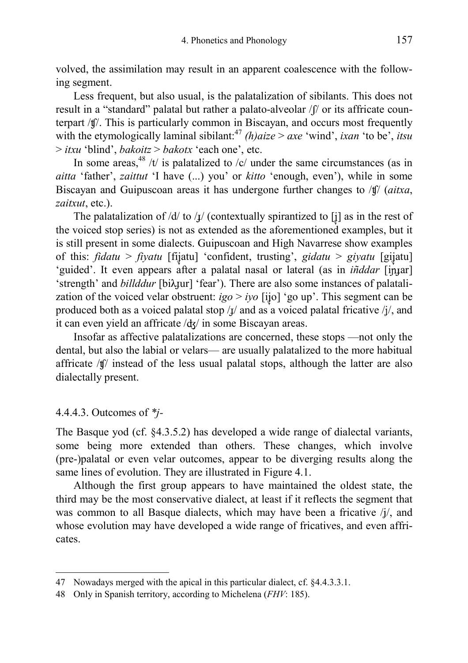volved, the assimilation may result in an apparent coalescence with the follow-

ing segment. Less frequent, but also usual, is the palatalization of sibilants. This does not result in a "standard" palatal but rather a palato-alveolar  $\beta$  or its affricate counterpart  $/\sqrt{t}$ . This is particularly common in Biscayan, and occurs most frequently with the etymologically laminal sibilant:<sup>47</sup> *(h)aize* > *axe* 'wind', *ixan* 'to be', *itsu* > *itxu* 'blind', *bakoitz* > *bakotx* 'each one', etc.

In some areas,<sup>48</sup> /t/ is palatalized to /c/ under the same circumstances (as in *aitta* 'father', *zaittut* 'I have (...) you' or *kitto* 'enough, even'), while in some Biscayan and Guipuscoan areas it has undergone further changes to /t<sup> $\hat{f}$ </sup> (*aitxa*, *zaitxut*, etc.).

The palatalization of  $\frac{d}{dx}$  to  $\frac{1}{y}$  (contextually spirantized to  $\begin{bmatrix} 1 \end{bmatrix}$  as in the rest of the voiced stop series) is not as extended as the aforementioned examples, but it is still present in some dialects. Guipuscoan and High Navarrese show examples of this: *fidatu* > *fiyatu* [fijatu] 'confident, trusting', *gidatu* > *giyatu* [gijatu] 'guided'. It even appears after a palatal nasal or lateral (as in *iñddar* [inter] 'strength' and *billddur* [bi $\lambda$ <sub>I</sub>ur] 'fear'). There are also some instances of palatalization of the voiced velar obstruent:  $igo > iyo$  [ijo] 'go up'. This segment can be produced both as a voiced palatal stop  $\frac{1}{4}$  and as a voiced palatal fricative  $\frac{1}{\sqrt{2}}$ , and it can even yield an affricate  $\frac{d\mathbf{x}}{dt}$  in some Biscayan areas.

Insofar as affective palatalizations are concerned, these stops —not only the dental, but also the labial or velars— are usually palatalized to the more habitual affricate  $/\frac{f}{f}$  instead of the less usual palatal stops, although the latter are also dialectally present.

## 4.4.4.3. Outcomes of *\*j-*

 $\overline{a}$ 

The Basque yod (cf. §4.3.5.2) has developed a wide range of dialectal variants, some being more extended than others. These changes, which involve (pre-)palatal or even velar outcomes, appear to be diverging results along the same lines of evolution. They are illustrated in Figure 4.1.

Although the first group appears to have maintained the oldest state, the third may be the most conservative dialect, at least if it reflects the segment that was common to all Basque dialects, which may have been a fricative  $/j$ , and whose evolution may have developed a wide range of fricatives, and even affricates.

<sup>47</sup> Nowadays merged with the apical in this particular dialect, cf. §4.4.3.3.1.

<sup>48</sup> Only in Spanish territory, according to Michelena (*FHV*: 185).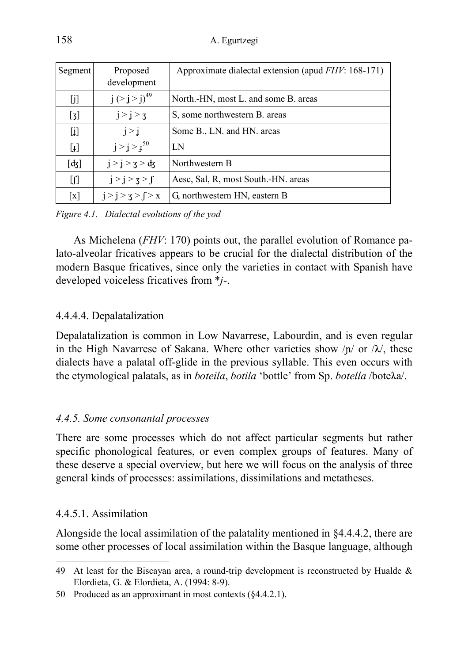| Segment                | Proposed<br>development | Approximate dialectal extension (apud <i>FHV</i> : 168-171) |
|------------------------|-------------------------|-------------------------------------------------------------|
| [j]                    | $i (> i > i)^{49}$      | North.-HN, most L. and some B. areas                        |
| $\lceil 3 \rceil$      | j > j > 3               | S, some northwestern B. areas                               |
| [j]                    | i > i                   | Some B., LN. and HN. areas                                  |
| $[1]$                  | $i > i > i^{50}$        | LN                                                          |
| [ $d_{\overline{5}}$ ] | i > j > j > d           | Northwestern B                                              |
| ſП                     | j > j > j > f           | Aesc, Sal, R, most South.-HN. areas                         |
| $\lceil x \rceil$      | j > j > j > j > x       | G, northwestern HN, eastern B                               |

*Figure 4.1. Dialectal evolutions of the yod* 

As Michelena (*FHV*: 170) points out, the parallel evolution of Romance palato-alveolar fricatives appears to be crucial for the dialectal distribution of the modern Basque fricatives, since only the varieties in contact with Spanish have developed voiceless fricatives from \**j*-.

# 4.4.4.4. Depalatalization

Depalatalization is common in Low Navarrese, Labourdin, and is even regular in the High Navarrese of Sakana. Where other varieties show  $/p/$  or  $/N$ , these dialects have a palatal off-glide in the previous syllable. This even occurs with the etymological palatals, as in *boteila*, *botila* 'bottle' from Sp. *botella* /boteλa/.

# *4.4.5. Some consonantal processes*

There are some processes which do not affect particular segments but rather specific phonological features, or even complex groups of features. Many of these deserve a special overview, but here we will focus on the analysis of three general kinds of processes: assimilations, dissimilations and metatheses.

# 4.4.5.1. Assimilation

 $\overline{a}$ 

Alongside the local assimilation of the palatality mentioned in §4.4.4.2, there are some other processes of local assimilation within the Basque language, although

<sup>49</sup> At least for the Biscayan area, a round-trip development is reconstructed by Hualde & Elordieta, G. & Elordieta, A. (1994: 8-9).

<sup>50</sup> Produced as an approximant in most contexts (§4.4.2.1).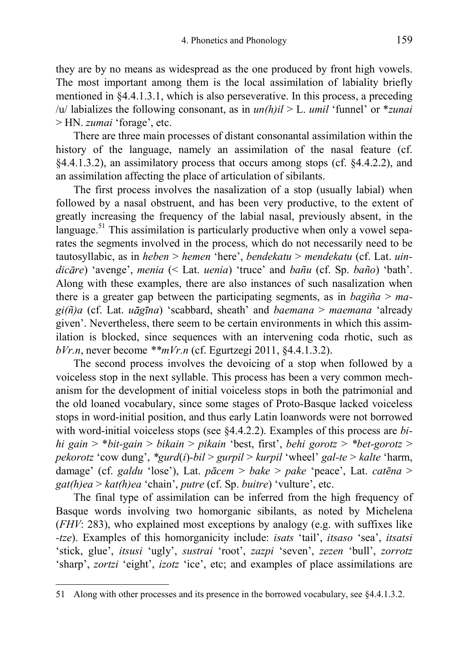they are by no means as widespread as the one produced by front high vowels. The most important among them is the local assimilation of labiality briefly mentioned in §4.4.1.3.1, which is also perseverative. In this process, a preceding /u/ labializes the following consonant, as in *un(h)il* > L. *umil* 'funnel' or \**zunai* > HN. *zumai* 'forage', etc.

There are three main processes of distant consonantal assimilation within the history of the language, namely an assimilation of the nasal feature (cf. §4.4.1.3.2), an assimilatory process that occurs among stops (cf. §4.4.2.2), and an assimilation affecting the place of articulation of sibilants.

The first process involves the nasalization of a stop (usually labial) when followed by a nasal obstruent, and has been very productive, to the extent of greatly increasing the frequency of the labial nasal, previously absent, in the language.<sup>51</sup> This assimilation is particularly productive when only a vowel separates the segments involved in the process, which do not necessarily need to be tautosyllabic, as in *heben* > *hemen* 'here', *bendekatu* > *mendekatu* (cf. Lat. *uindic re*) 'avenge', *menia* (< Lat. *uenia*) 'truce' and *bañu* (cf. Sp. *baño*) 'bath'. Along with these examples, there are also instances of such nasalization when there is a greater gap between the participating segments, as in *bagiña* > *ma* $gi(\tilde{n})a$  (cf. Lat.  $u\bar{a}g\bar{u}na$ ) 'scabbard, sheath' and *baemana* > *maemana* 'already given'. Nevertheless, there seem to be certain environments in which this assimilation is blocked, since sequences with an intervening coda rhotic, such as *bVr.n*, never become *\*\*mVr.n* (cf. Egurtzegi 2011, §4.4.1.3.2).

The second process involves the devoicing of a stop when followed by a voiceless stop in the next syllable. This process has been a very common mechanism for the development of initial voiceless stops in both the patrimonial and the old loaned vocabulary, since some stages of Proto-Basque lacked voiceless stops in word-initial position, and thus early Latin loanwords were not borrowed with word-initial voiceless stops (see §4.4.2.2). Examples of this process are *bihi gain* > \**bit-gain* > *bikain* > *pikain* 'best, first', *behi gorotz* > *\*bet-gorotz* > *pekorotz* 'cow dung', *\*gurd*(*i*)*-bil* > *gurpil* > *kurpil* 'wheel' *gal-te* > *kalte* 'harm, damage' (cf. *galdu* 'lose'), Lat. *p acem* > *bake* > *pake* 'peace', Lat. *catena* > *gat(h)ea* > *kat(h)ea* 'chain', *putre* (cf. Sp. *buitre*) 'vulture', etc.

The final type of assimilation can be inferred from the high frequency of Basque words involving two homorganic sibilants, as noted by Michelena (*FHV*: 283), who explained most exceptions by analogy (e.g. with suffixes like *-tze*). Examples of this homorganicity include: *isats* 'tail', *itsaso* 'sea', *itsatsi* 'stick, glue', *itsusi* 'ugly', *sustrai* 'root', *zazpi* 'seven', *zezen* 'bull', *zorrotz* 'sharp', *zortzi* 'eight', *izotz* 'ice', etc; and examples of place assimilations are

<sup>51</sup> Along with other processes and its presence in the borrowed vocabulary, see §4.4.1.3.2.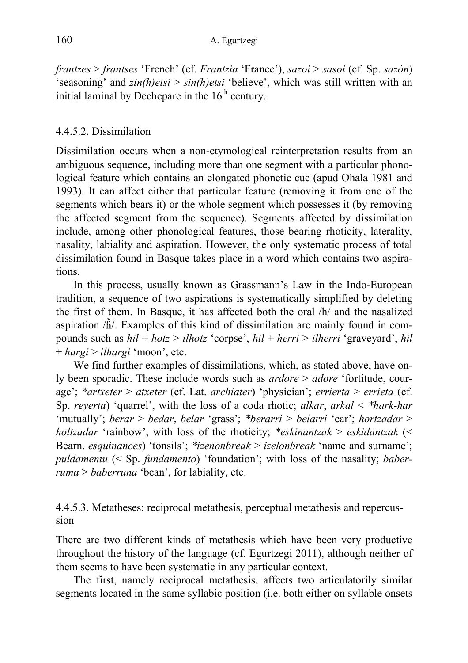*frantzes* > *frantses* 'French' (cf. *Frantzia* 'France'), *sazoi* > *sasoi* (cf. Sp. *sazón*) 'seasoning' and *zin(h)etsi* > *sin(h)etsi* 'believe', which was still written with an initial laminal by Dechepare in the  $16<sup>th</sup>$  century.

## 4.4.5.2. Dissimilation

Dissimilation occurs when a non-etymological reinterpretation results from an ambiguous sequence, including more than one segment with a particular phonological feature which contains an elongated phonetic cue (apud Ohala 1981 and 1993). It can affect either that particular feature (removing it from one of the segments which bears it) or the whole segment which possesses it (by removing the affected segment from the sequence). Segments affected by dissimilation include, among other phonological features, those bearing rhoticity, laterality, nasality, labiality and aspiration. However, the only systematic process of total dissimilation found in Basque takes place in a word which contains two aspirations.

In this process, usually known as Grassmann's Law in the Indo-European tradition, a sequence of two aspirations is systematically simplified by deleting the first of them. In Basque, it has affected both the oral /h/ and the nasalized aspiration  $/$  $\tilde{h}$ . Examples of this kind of dissimilation are mainly found in compounds such as *hil* + *hotz* > *ilhotz* 'corpse', *hil* + *herri* > *ilherri* 'graveyard', *hil* + *hargi* > *ilhargi* 'moon', etc.

We find further examples of dissimilations, which, as stated above, have only been sporadic. These include words such as *ardore* > *adore* 'fortitude, courage'; *\*artxeter* > *atxeter* (cf. Lat. *archiater*) 'physician'; *errierta* > *errieta* (cf. Sp. *reyerta*) 'quarrel', with the loss of a coda rhotic; *alkar*, *arkal* < *\*hark-har* 'mutually'; *berar* > *bedar*, *belar* 'grass'; *\*berarri* > *belarri* 'ear'; *hortzadar* > *holtzadar* 'rainbow', with loss of the rhoticity; *\*eskinantzak* > *eskidantzak* (< Bearn. *esquinances*) 'tonsils'; *\*izenonbreak* > *izelonbreak* 'name and surname'; *puldamentu* (< Sp. *fundamento*) 'foundation'; with loss of the nasality; *baberruma* > *baberruna* 'bean', for labiality, etc.

4.4.5.3. Metatheses: reciprocal metathesis, perceptual metathesis and repercussion

There are two different kinds of metathesis which have been very productive throughout the history of the language (cf. Egurtzegi 2011), although neither of them seems to have been systematic in any particular context.

The first, namely reciprocal metathesis, affects two articulatorily similar segments located in the same syllabic position (i.e. both either on syllable onsets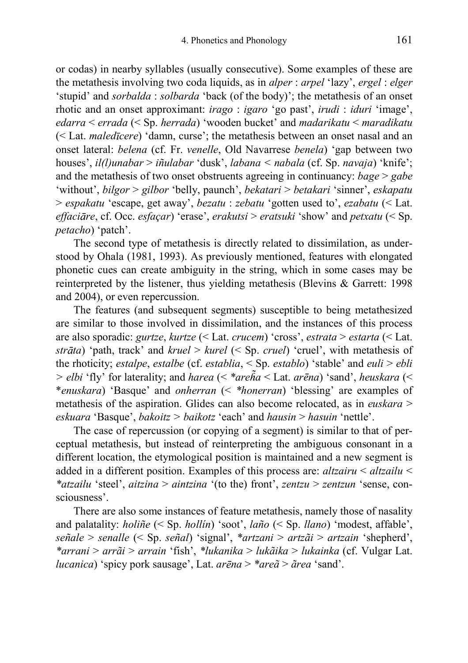or codas) in nearby syllables (usually consecutive). Some examples of these are the metathesis involving two coda liquids, as in *alper* : *arpel* 'lazy', *ergel* : *elger* 'stupid' and *sorbalda* : *solbarda* 'back (of the body)'; the metathesis of an onset rhotic and an onset approximant: *irago* : *igaro* 'go past', *irudi* : *iduri* 'image', *edarra* < *errada* (< Sp. *herrada*) 'wooden bucket' and *madarikatu* < *maradikatu* (< Lat. *maled cere*) 'damn, curse'; the metathesis between an onset nasal and an onset lateral: *belena* (cf. Fr. *venelle*, Old Navarrese *benela*) 'gap between two houses', *il(l)unabar* > *iñulabar* 'dusk', *labana < nabala* (cf. Sp. *navaja*) 'knife'; and the metathesis of two onset obstruents agreeing in continuancy: *bage* > *gabe* 'without', *bilgor* > *gilbor* 'belly, paunch', *bekatari* > *betakari* 'sinner', *eskapatu* > *espakatu* 'escape, get away', *bezatu* : *zebatu* 'gotten used to', *ezabatu* (< Lat. *effaci re*, cf. Occ. *esfaçar*) 'erase', *erakutsi* > *eratsuki* 'show' and *petxatu* (< Sp. *petacho*) 'patch'.

The second type of metathesis is directly related to dissimilation, as understood by Ohala (1981, 1993). As previously mentioned, features with elongated phonetic cues can create ambiguity in the string, which in some cases may be reinterpreted by the listener, thus yielding metathesis (Blevins & Garrett: 1998 and 2004), or even repercussion.

The features (and subsequent segments) susceptible to being metathesized are similar to those involved in dissimilation, and the instances of this process are also sporadic: *gurtze*, *kurtze* (< Lat. *crucem*) 'cross', *estrata* > *estarta* (< Lat. *str ta*) 'path, track' and *kruel* > *kurel* (< Sp. *cruel*) 'cruel', with metathesis of the rhoticity; *estalpe*, *estalbe* (cf. *establia*, < Sp. *establo*) 'stable' and *euli* > *ebli > elbi* 'fly' for laterality; and *harea* (< *\*are a* < Lat. *ar na*) 'sand', *heuskara* (< \**enuskara*) 'Basque' and *onherran* (< *\*honerran*) 'blessing' are examples of metathesis of the aspiration. Glides can also become relocated, as in *euskara* > *eskuara* 'Basque', *bakoitz > baikotz* 'each' and *hausin* > *hasuin* 'nettle'.

The case of repercussion (or copying of a segment) is similar to that of perceptual metathesis, but instead of reinterpreting the ambiguous consonant in a different location, the etymological position is maintained and a new segment is added in a different position. Examples of this process are: *altzairu* < *altzailu* < *\*atzailu* 'steel', *aitzina* > *aintzina* '(to the) front', *zentzu* > *zentzun* 'sense, consciousness'.

There are also some instances of feature metathesis, namely those of nasality and palatality: *holiñe* (< Sp. *hollín*) 'soot', *laño* (< Sp. *llano*) 'modest, affable', *señale* > *senalle* (< Sp. *señal*) 'signal', *\*artzani* > *artzãi* > *artzain* 'shepherd', *\*arrani* > *arrãi* > *arrain* 'fish', *\*lukanika* > *lukãika* > *lukainka* (cf. Vulgar Lat. *lucanica*) 'spicy pork sausage', Lat. *ar na* > *\*areã* > *ãrea* 'sand'.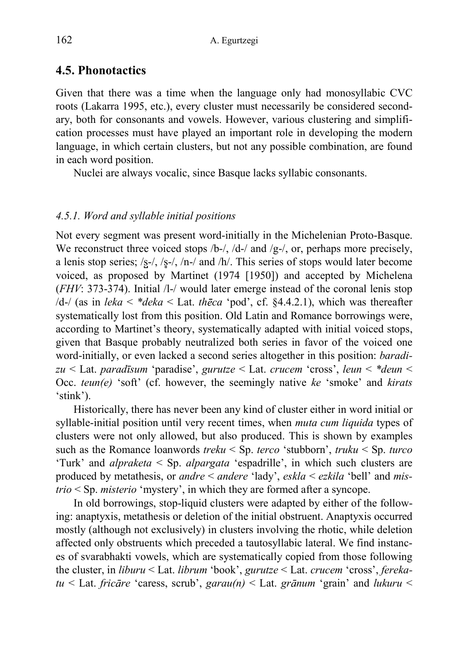# **4.5. Phonotactics**

Given that there was a time when the language only had monosyllabic CVC roots (Lakarra 1995, etc.), every cluster must necessarily be considered secondary, both for consonants and vowels. However, various clustering and simplification processes must have played an important role in developing the modern language, in which certain clusters, but not any possible combination, are found in each word position.

Nuclei are always vocalic, since Basque lacks syllabic consonants.

### *4.5.1. Word and syllable initial positions*

Not every segment was present word-initially in the Michelenian Proto-Basque. We reconstruct three voiced stops  $/b$ -/,  $/d$ -/ and  $/g$ -/, or, perhaps more precisely, a lenis stop series; /s-/, /s-/, /n-/ and /h/. This series of stops would later become voiced, as proposed by Martinet (1974 [1950]) and accepted by Michelena (*FHV*: 373-374). Initial /l-/ would later emerge instead of the coronal lenis stop /d-/ (as in  $leka < *deka <$  Lat. *theca* 'pod', cf.  $§4.4.2.1$ ), which was thereafter systematically lost from this position. Old Latin and Romance borrowings were, according to Martinet's theory, systematically adapted with initial voiced stops, given that Basque probably neutralized both series in favor of the voiced one word-initially, or even lacked a second series altogether in this position: *baradizu* < Lat. *parad sum* 'paradise', *gurutze* < Lat. *crucem* 'cross', *leun* < *\*deun* < Occ. *teun(e)* 'soft' (cf. however, the seemingly native *ke* 'smoke' and *kirats* 'stink').

Historically, there has never been any kind of cluster either in word initial or syllable-initial position until very recent times, when *muta cum liquida* types of clusters were not only allowed, but also produced. This is shown by examples such as the Romance loanwords *treku* < Sp. *terco* 'stubborn', *truku* < Sp. *turco* 'Turk' and *alpraketa* < Sp. *alpargata* 'espadrille', in which such clusters are produced by metathesis, or *andre* < *andere* 'lady', *eskla* < *ezkila* 'bell' and *mistrio* < Sp. *misterio* 'mystery', in which they are formed after a syncope.

In old borrowings, stop-liquid clusters were adapted by either of the following: anaptyxis, metathesis or deletion of the initial obstruent. Anaptyxis occurred mostly (although not exclusively) in clusters involving the rhotic, while deletion affected only obstruents which preceded a tautosyllabic lateral. We find instances of svarabhakti vowels, which are systematically copied from those following the cluster, in *liburu* < Lat. *librum* 'book', *gurutze* < Lat. *crucem* 'cross', *fereka* $tu$  < Lat. *fricare* 'caress, scrub',  $garau(n)$  < Lat. *granum* 'grain' and *lukuru* <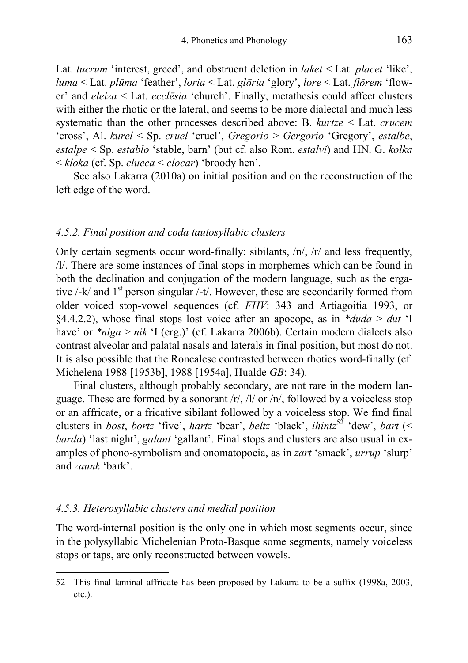Lat. *lucrum* 'interest, greed', and obstruent deletion in *laket* < Lat. *placet* 'like', *luma* < Lat. *pl ma* 'feather', *loria* < Lat. *gl ria* 'glory', *lore* < Lat. *fl rem* 'flower' and *eleiza* < Lat. *ecclesia* 'church'. Finally, metathesis could affect clusters with either the rhotic or the lateral, and seems to be more dialectal and much less systematic than the other processes described above: B. *kurtze* < Lat. *crucem* 'cross', Al. *kurel* < Sp. *cruel* 'cruel', *Gregorio* > *Gergorio* 'Gregory', *estalbe*, *estalpe* < Sp. *establo* 'stable, barn' (but cf. also Rom. *estalvi*) and HN. G. *kolka* < *kloka* (cf. Sp. *clueca* < *clocar*) 'broody hen'.

See also Lakarra (2010a) on initial position and on the reconstruction of the left edge of the word.

#### *4.5.2. Final position and coda tautosyllabic clusters*

Only certain segments occur word-finally: sibilants, /n/, /r/ and less frequently, /l/. There are some instances of final stops in morphemes which can be found in both the declination and conjugation of the modern language, such as the ergative  $-k$  and  $1<sup>st</sup>$  person singular  $k-t$ . However, these are secondarily formed from older voiced stop-vowel sequences (cf. *FHV*: 343 and Artiagoitia 1993, or §4.4.2.2), whose final stops lost voice after an apocope, as in *\*duda* > *dut* 'I have' or *\*niga* > *nik* 'I (erg.)' (cf. Lakarra 2006b). Certain modern dialects also contrast alveolar and palatal nasals and laterals in final position, but most do not. It is also possible that the Roncalese contrasted between rhotics word-finally (cf. Michelena 1988 [1953b], 1988 [1954a], Hualde *GB*: 34).

Final clusters, although probably secondary, are not rare in the modern language. These are formed by a sonorant /r/, /l/ or /n/, followed by a voiceless stop or an affricate, or a fricative sibilant followed by a voiceless stop. We find final clusters in *bost*, *bortz* 'five', *hartz* 'bear', *beltz* 'black', *ihintz*<sup>52</sup> 'dew', *bart* (< *barda*) 'last night', *galant* 'gallant'. Final stops and clusters are also usual in examples of phono-symbolism and onomatopoeia, as in *zart* 'smack', *urrup* 'slurp' and *zaunk* 'bark'.

#### *4.5.3. Heterosyllabic clusters and medial position*

 $\overline{a}$ 

The word-internal position is the only one in which most segments occur, since in the polysyllabic Michelenian Proto-Basque some segments, namely voiceless stops or taps, are only reconstructed between vowels.

<sup>52</sup> This final laminal affricate has been proposed by Lakarra to be a suffix (1998a, 2003, etc.).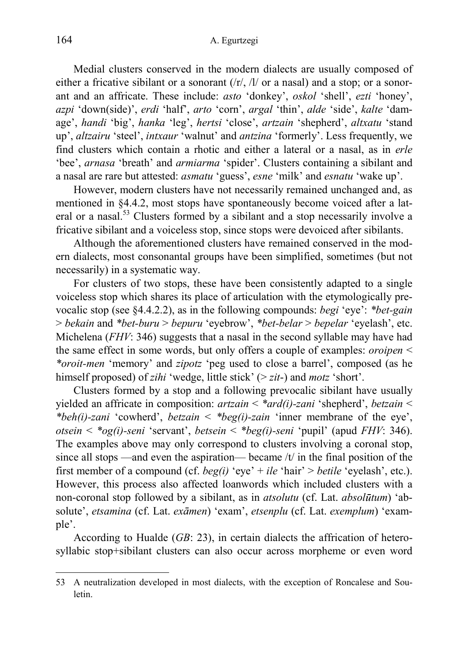Medial clusters conserved in the modern dialects are usually composed of either a fricative sibilant or a sonorant  $(|r|, |l|)$  or a nasal) and a stop; or a sonorant and an affricate. These include: *asto* 'donkey', *oskol* 'shell', *ezti* 'honey', *azpi* 'down(side)', *erdi* 'half', *arto* 'corn', *argal* 'thin', *alde* 'side', *kalte* 'damage', *handi* 'big', *hanka* 'leg', *hertsi* 'close', *artzain* 'shepherd', *altxatu* 'stand up', *altzairu* 'steel', *intxaur* 'walnut' and *antzina* 'formerly'. Less frequently, we find clusters which contain a rhotic and either a lateral or a nasal, as in *erle* 'bee', *arnasa* 'breath' and *armiarma* 'spider'. Clusters containing a sibilant and a nasal are rare but attested: *asmatu* 'guess', *esne* 'milk' and *esnatu* 'wake up'.

However, modern clusters have not necessarily remained unchanged and, as mentioned in §4.4.2, most stops have spontaneously become voiced after a lateral or a nasal.<sup>53</sup> Clusters formed by a sibilant and a stop necessarily involve a fricative sibilant and a voiceless stop, since stops were devoiced after sibilants.

Although the aforementioned clusters have remained conserved in the modern dialects, most consonantal groups have been simplified, sometimes (but not necessarily) in a systematic way.

For clusters of two stops, these have been consistently adapted to a single voiceless stop which shares its place of articulation with the etymologically prevocalic stop (see §4.4.2.2), as in the following compounds: *begi* 'eye': *\*bet-gain* > *bekain* and *\*bet-buru* > *bepuru* 'eyebrow', *\*bet-belar* > *bepelar* 'eyelash', etc. Michelena (*FHV*: 346) suggests that a nasal in the second syllable may have had the same effect in some words, but only offers a couple of examples: *oroipen* < *\*oroit-men* 'memory' and *zipotz* 'peg used to close a barrel', composed (as he himself proposed) of *zihi* 'wedge, little stick' (> *zit*-) and *motz* 'short'.

Clusters formed by a stop and a following prevocalic sibilant have usually yielded an affricate in composition: *artzain* < *\*ard(i)-zani* 'shepherd', *betzain* < *\*beh(i)-zani* 'cowherd', *betzain* < *\*beg(i)-zain* 'inner membrane of the eye', *otsein* < *\*og(i)-seni* 'servant', *betsein* < *\*beg(i)-seni* 'pupil' (apud *FHV*: 346). The examples above may only correspond to clusters involving a coronal stop, since all stops —and even the aspiration— became /t/ in the final position of the first member of a compound (cf. *beg(i)* 'eye' + *ile* 'hair' > *betile* 'eyelash', etc.). However, this process also affected loanwords which included clusters with a non-coronal stop followed by a sibilant, as in *atsolutu* (cf. Lat. *absolutum*) 'absolute', *etsamina* (cf. Lat. *ex men*) 'exam', *etsenplu* (cf. Lat. *exemplum*) 'example'.

According to Hualde (*GB*: 23), in certain dialects the affrication of heterosyllabic stop+sibilant clusters can also occur across morpheme or even word

<sup>53</sup> A neutralization developed in most dialects, with the exception of Roncalese and Souletin.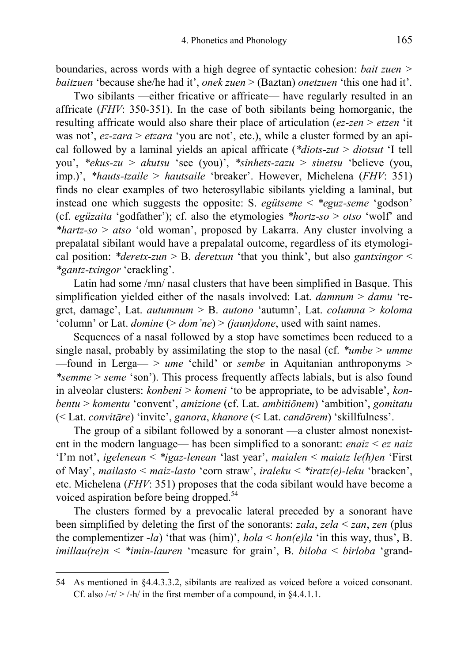boundaries, across words with a high degree of syntactic cohesion: *bait zuen > baitzuen* 'because she/he had it', *onek zuen* > (Baztan) *onetzuen* 'this one had it'.

Two sibilants —either fricative or affricate— have regularly resulted in an affricate (*FHV*: 350-351). In the case of both sibilants being homorganic, the resulting affricate would also share their place of articulation (*ez-zen* > *etzen* 'it was not', *ez-zara* > *etzara* 'you are not', etc.), while a cluster formed by an apical followed by a laminal yields an apical affricate (*\*diots-zut* > *diotsut* 'I tell you', *\*ekus-zu* > *akutsu* 'see (you)', *\*sinhets-zazu* > *sinetsu* 'believe (you, imp.)', *\*hauts-tzaile* > *hautsaile* 'breaker'. However, Michelena (*FHV*: 351) finds no clear examples of two heterosyllabic sibilants yielding a laminal, but instead one which suggests the opposite: S. *egütseme* < *\*eguz-seme* 'godson' (cf. *egüzaita* 'godfather'); cf. also the etymologies *\*hortz-so* > *otso* 'wolf' and *\*hartz-so* > *atso* 'old woman', proposed by Lakarra. Any cluster involving a prepalatal sibilant would have a prepalatal outcome, regardless of its etymological position: *\*deretx-zun* > B. *deretxun* 'that you think', but also *gantxingor* < *\*gantz-txingor* 'crackling'.

Latin had some /mn/ nasal clusters that have been simplified in Basque. This simplification yielded either of the nasals involved: Lat. *damnum* > *damu* 'regret, damage', Lat. *autumnum* > B. *autono* 'autumn', Lat. *columna* > *koloma* 'column' or Lat. *domine* (> *dom'ne*) > *(jaun)done*, used with saint names.

Sequences of a nasal followed by a stop have sometimes been reduced to a single nasal, probably by assimilating the stop to the nasal (cf. *\*umbe* > *umme* —found in Lerga— > *ume* 'child' or *sembe* in Aquitanian anthroponyms > *\*semme* > *seme* 'son'). This process frequently affects labials, but is also found in alveolar clusters: *konbeni* > *komeni* 'to be appropriate, to be advisable', *konbentu* > *komentu* 'convent', *amizione* (cf. Lat. *ambiti nem*) 'ambition', *gomitatu* (< Lat. *convit re*) 'invite', *ganora*, *khanore* (< Lat. *cand rem*) 'skillfulness'.

The group of a sibilant followed by a sonorant —a cluster almost nonexistent in the modern language— has been simplified to a sonorant: *enaiz* < *ez naiz* 'I'm not', *igelenean* < *\*igaz-lenean* 'last year', *maialen* < *maiatz le(h)en* 'First of May', *mailasto* < *maiz-lasto* 'corn straw', *iraleku* < *\*iratz(e)-leku* 'bracken', etc. Michelena (*FHV*: 351) proposes that the coda sibilant would have become a voiced aspiration before being dropped.<sup>54</sup>

The clusters formed by a prevocalic lateral preceded by a sonorant have been simplified by deleting the first of the sonorants: *zala*, *zela* < *zan*, *zen* (plus the complementizer *-la*) 'that was (him)',  $hola \leq hon(e)la$  'in this way, thus', B. *imillau(re)n* < *\*imin-lauren* 'measure for grain', B. *biloba* < *birloba* 'grand-

<sup>54</sup> As mentioned in §4.4.3.3.2, sibilants are realized as voiced before a voiced consonant. Cf. also  $\frac{-r}{>}$  /-h/ in the first member of a compound, in §4.4.1.1.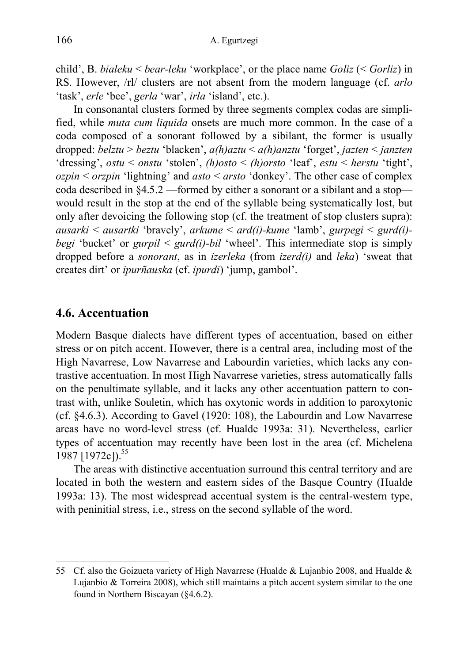child', B. *bialeku* < *bear-leku* 'workplace', or the place name *Goliz* (< *Gorliz*) in RS. However, /rl/ clusters are not absent from the modern language (cf. *arlo* 'task', *erle* 'bee', *gerla* 'war', *irla* 'island', etc.).

In consonantal clusters formed by three segments complex codas are simplified, while *muta cum liquida* onsets are much more common. In the case of a coda composed of a sonorant followed by a sibilant, the former is usually dropped: *belztu* > *beztu* 'blacken', *a(h)aztu* < *a(h)anztu* 'forget', *jazten* < *janzten* 'dressing', *ostu* < *onstu* 'stolen', *(h)osto* < *(h)orsto* 'leaf', *estu* < *herstu* 'tight', *ozpin* < *orzpin* 'lightning' and *asto* < *arsto* 'donkey'. The other case of complex coda described in §4.5.2 —formed by either a sonorant or a sibilant and a stop would result in the stop at the end of the syllable being systematically lost, but only after devoicing the following stop (cf. the treatment of stop clusters supra): *ausarki* < *ausartki* 'bravely', *arkume* < *ard(i)-kume* 'lamb', *gurpegi* < *gurd(i) begi* 'bucket' or *gurpil*  $\leq$  *gurd(i)-bil* 'wheel'. This intermediate stop is simply dropped before a *sonorant*, as in *izerleka* (from *izerd(i)* and *leka*) 'sweat that creates dirt' or *ipurñauska* (cf. *ipurdi*) 'jump, gambol'.

## **4.6. Accentuation**

 $\overline{a}$ 

Modern Basque dialects have different types of accentuation, based on either stress or on pitch accent. However, there is a central area, including most of the High Navarrese, Low Navarrese and Labourdin varieties, which lacks any contrastive accentuation. In most High Navarrese varieties, stress automatically falls on the penultimate syllable, and it lacks any other accentuation pattern to contrast with, unlike Souletin, which has oxytonic words in addition to paroxytonic (cf. §4.6.3). According to Gavel (1920: 108), the Labourdin and Low Navarrese areas have no word-level stress (cf. Hualde 1993a: 31). Nevertheless, earlier types of accentuation may recently have been lost in the area (cf. Michelena 1987 [1972c]).<sup>55</sup>

The areas with distinctive accentuation surround this central territory and are located in both the western and eastern sides of the Basque Country (Hualde 1993a: 13). The most widespread accentual system is the central-western type, with peninitial stress, i.e., stress on the second syllable of the word.

<sup>55</sup> Cf. also the Goizueta variety of High Navarrese (Hualde & Lujanbio 2008, and Hualde & Lujanbio & Torreira 2008), which still maintains a pitch accent system similar to the one found in Northern Biscayan (§4.6.2).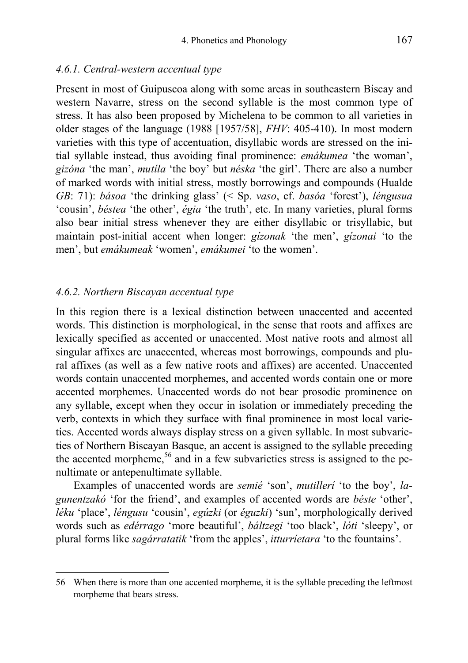### *4.6.1. Central-western accentual type*

Present in most of Guipuscoa along with some areas in southeastern Biscay and western Navarre, stress on the second syllable is the most common type of stress. It has also been proposed by Michelena to be common to all varieties in older stages of the language (1988 [1957/58], *FHV*: 405-410). In most modern varieties with this type of accentuation, disyllabic words are stressed on the initial syllable instead, thus avoiding final prominence: *emákumea* 'the woman', *gizóna* 'the man', *mutíla* 'the boy' but *néska* 'the girl'. There are also a number of marked words with initial stress, mostly borrowings and compounds (Hualde *GB*: 71): *básoa* 'the drinking glass' (< Sp. *vaso*, cf. *basóa* 'forest'), *léngusua* 'cousin', *béstea* 'the other', *égia* 'the truth', etc. In many varieties, plural forms also bear initial stress whenever they are either disyllabic or trisyllabic, but maintain post-initial accent when longer: *gízonak* 'the men', *gízonai* 'to the men', but *emákumeak* 'women', *emákumei* 'to the women'.

## *4.6.2. Northern Biscayan accentual type*

 $\overline{a}$ 

In this region there is a lexical distinction between unaccented and accented words. This distinction is morphological, in the sense that roots and affixes are lexically specified as accented or unaccented. Most native roots and almost all singular affixes are unaccented, whereas most borrowings, compounds and plural affixes (as well as a few native roots and affixes) are accented. Unaccented words contain unaccented morphemes, and accented words contain one or more accented morphemes. Unaccented words do not bear prosodic prominence on any syllable, except when they occur in isolation or immediately preceding the verb, contexts in which they surface with final prominence in most local varieties. Accented words always display stress on a given syllable. In most subvarieties of Northern Biscayan Basque, an accent is assigned to the syllable preceding the accented morpheme,<sup>56</sup> and in a few subvarieties stress is assigned to the penultimate or antepenultimate syllable.

Examples of unaccented words are *semié* 'son', *mutillerí* 'to the boy', *lagunentzakó* 'for the friend', and examples of accented words are *béste* 'other', *léku* 'place', *léngusu* 'cousin', *egúzki* (or *éguzki*) 'sun', morphologically derived words such as *edérrago* 'more beautiful', *báltzegi* 'too black', *lóti* 'sleepy', or plural forms like *sagárratatik* 'from the apples', *itturríetara* 'to the fountains'.

<sup>56</sup> When there is more than one accented morpheme, it is the syllable preceding the leftmost morpheme that bears stress.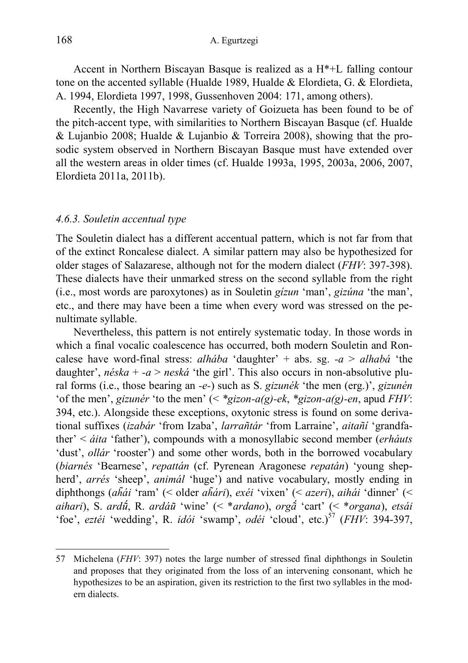Accent in Northern Biscayan Basque is realized as a H\*+L falling contour tone on the accented syllable (Hualde 1989, Hualde & Elordieta, G. & Elordieta, A. 1994, Elordieta 1997, 1998, Gussenhoven 2004: 171, among others).

Recently, the High Navarrese variety of Goizueta has been found to be of the pitch-accent type, with similarities to Northern Biscayan Basque (cf. Hualde & Lujanbio 2008; Hualde & Lujanbio & Torreira 2008), showing that the prosodic system observed in Northern Biscayan Basque must have extended over all the western areas in older times (cf. Hualde 1993a, 1995, 2003a, 2006, 2007, Elordieta 2011a, 2011b).

#### *4.6.3. Souletin accentual type*

The Souletin dialect has a different accentual pattern, which is not far from that of the extinct Roncalese dialect. A similar pattern may also be hypothesized for older stages of Salazarese, although not for the modern dialect (*FHV*: 397-398). These dialects have their unmarked stress on the second syllable from the right (i.e., most words are paroxytones) as in Souletin *gízun* 'man', *gizúna* 'the man', etc., and there may have been a time when every word was stressed on the penultimate syllable.

Nevertheless, this pattern is not entirely systematic today. In those words in which a final vocalic coalescence has occurred, both modern Souletin and Roncalese have word-final stress: *alhába* 'daughter' + abs. sg. *-a* > *alhabá* 'the daughter', *néska* + *-a* > *neská* 'the girl'. This also occurs in non-absolutive plural forms (i.e., those bearing an *-e-*) such as S. *gizunék* 'the men (erg.)', *gizunén* 'of the men', *gizunér* 'to the men' (< *\*gizon-a(g)-ek*, *\*gizon-a(g)-en*, apud *FHV*: 394, etc.). Alongside these exceptions, oxytonic stress is found on some derivational suffixes (*izabár* 'from Izaba', *larrañtár* 'from Larraine', *aitañí* 'grandfather' < *áita* 'father'), compounds with a monosyllabic second member (*erháuts* 'dust', *ollár* 'rooster') and some other words, both in the borrowed vocabulary (*biarnés* 'Bearnese', *repattán* (cf. Pyrenean Aragonese *repatán*) 'young shepherd', *arrés* 'sheep', *animál* 'huge') and native vocabulary, mostly ending in diphthongs (*ahái* 'ram' (< older *ahári*), *exéi* 'vixen' (< *azeri*), *aihái* 'dinner' (< *aihari*), S. *ard* , R. *ardá* 'wine' (< \**ardano*), *orgã* 'cart' (< \**organa*), *etsái* 'foe', *eztéi* 'wedding', R. *idói* 'swamp', *odéi* 'cloud', etc.)<sup>57</sup> (*FHV*: 394-397,

<sup>57</sup> Michelena (*FHV*: 397) notes the large number of stressed final diphthongs in Souletin and proposes that they originated from the loss of an intervening consonant, which he hypothesizes to be an aspiration, given its restriction to the first two syllables in the modern dialects.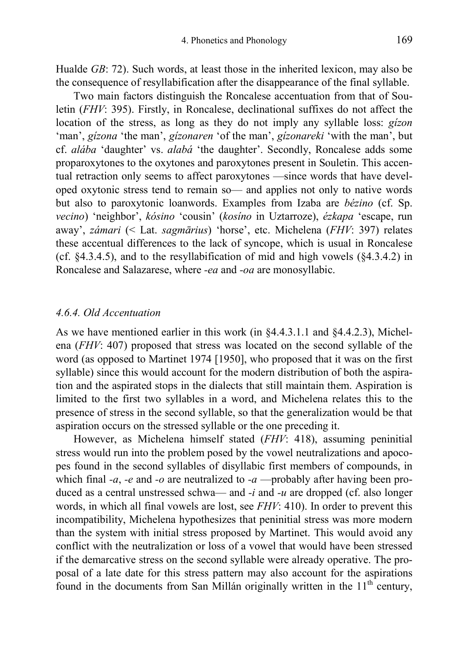Hualde *GB*: 72). Such words, at least those in the inherited lexicon, may also be the consequence of resyllabification after the disappearance of the final syllable.

Two main factors distinguish the Roncalese accentuation from that of Souletin (*FHV*: 395). Firstly, in Roncalese, declinational suffixes do not affect the location of the stress, as long as they do not imply any syllable loss: *gízon* 'man', *gízona* 'the man', *gízonaren* 'of the man', *gízonareki* 'with the man', but cf. *alába* 'daughter' vs. *alabá* 'the daughter'. Secondly, Roncalese adds some proparoxytones to the oxytones and paroxytones present in Souletin. This accentual retraction only seems to affect paroxytones —since words that have developed oxytonic stress tend to remain so— and applies not only to native words but also to paroxytonic loanwords. Examples from Izaba are *bézino* (cf. Sp. *vecino*) 'neighbor', *kósino* 'cousin' (*kosíno* in Uztarroze), *ézkapa* 'escape, run away', *zámari* (< Lat. *sagmārius*) 'horse', etc. Michelena (*FHV*: 397) relates these accentual differences to the lack of syncope, which is usual in Roncalese (cf. §4.3.4.5), and to the resyllabification of mid and high vowels (§4.3.4.2) in Roncalese and Salazarese, where *-ea* and *-oa* are monosyllabic.

#### *4.6.4. Old Accentuation*

As we have mentioned earlier in this work (in §4.4.3.1.1 and §4.4.2.3), Michelena (*FHV*: 407) proposed that stress was located on the second syllable of the word (as opposed to Martinet 1974 [1950], who proposed that it was on the first syllable) since this would account for the modern distribution of both the aspiration and the aspirated stops in the dialects that still maintain them. Aspiration is limited to the first two syllables in a word, and Michelena relates this to the presence of stress in the second syllable, so that the generalization would be that aspiration occurs on the stressed syllable or the one preceding it.

However, as Michelena himself stated (*FHV*: 418), assuming peninitial stress would run into the problem posed by the vowel neutralizations and apocopes found in the second syllables of disyllabic first members of compounds, in which final *-a*, *-e* and *-o* are neutralized to *-a* —probably after having been produced as a central unstressed schwa— and *-i* and *-u* are dropped (cf. also longer words, in which all final vowels are lost, see *FHV*: 410). In order to prevent this incompatibility, Michelena hypothesizes that peninitial stress was more modern than the system with initial stress proposed by Martinet. This would avoid any conflict with the neutralization or loss of a vowel that would have been stressed if the demarcative stress on the second syllable were already operative. The proposal of a late date for this stress pattern may also account for the aspirations found in the documents from San Millán originally written in the  $11<sup>th</sup>$  century,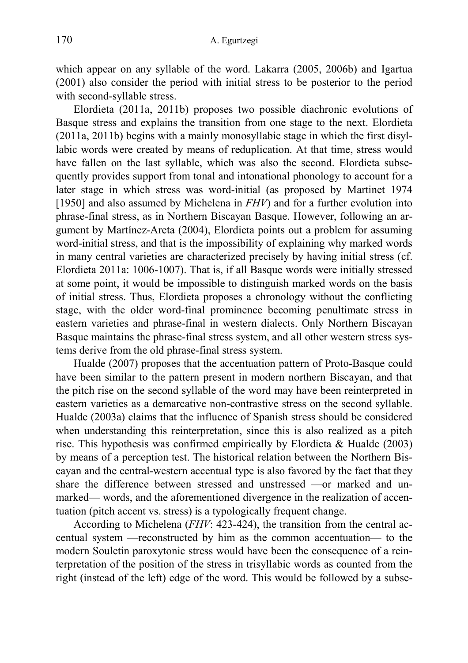which appear on any syllable of the word. Lakarra (2005, 2006b) and Igartua (2001) also consider the period with initial stress to be posterior to the period with second-syllable stress.

Elordieta (2011a, 2011b) proposes two possible diachronic evolutions of Basque stress and explains the transition from one stage to the next. Elordieta (2011a, 2011b) begins with a mainly monosyllabic stage in which the first disyllabic words were created by means of reduplication. At that time, stress would have fallen on the last syllable, which was also the second. Elordieta subsequently provides support from tonal and intonational phonology to account for a later stage in which stress was word-initial (as proposed by Martinet 1974 [1950] and also assumed by Michelena in *FHV*) and for a further evolution into phrase-final stress, as in Northern Biscayan Basque. However, following an argument by Martínez-Areta (2004), Elordieta points out a problem for assuming word-initial stress, and that is the impossibility of explaining why marked words in many central varieties are characterized precisely by having initial stress (cf. Elordieta 2011a: 1006-1007). That is, if all Basque words were initially stressed at some point, it would be impossible to distinguish marked words on the basis of initial stress. Thus, Elordieta proposes a chronology without the conflicting stage, with the older word-final prominence becoming penultimate stress in eastern varieties and phrase-final in western dialects. Only Northern Biscayan Basque maintains the phrase-final stress system, and all other western stress systems derive from the old phrase-final stress system.

Hualde (2007) proposes that the accentuation pattern of Proto-Basque could have been similar to the pattern present in modern northern Biscayan, and that the pitch rise on the second syllable of the word may have been reinterpreted in eastern varieties as a demarcative non-contrastive stress on the second syllable. Hualde (2003a) claims that the influence of Spanish stress should be considered when understanding this reinterpretation, since this is also realized as a pitch rise. This hypothesis was confirmed empirically by Elordieta & Hualde (2003) by means of a perception test. The historical relation between the Northern Biscayan and the central-western accentual type is also favored by the fact that they share the difference between stressed and unstressed —or marked and unmarked— words, and the aforementioned divergence in the realization of accentuation (pitch accent vs. stress) is a typologically frequent change.

According to Michelena (*FHV*: 423-424), the transition from the central accentual system —reconstructed by him as the common accentuation— to the modern Souletin paroxytonic stress would have been the consequence of a reinterpretation of the position of the stress in trisyllabic words as counted from the right (instead of the left) edge of the word. This would be followed by a subse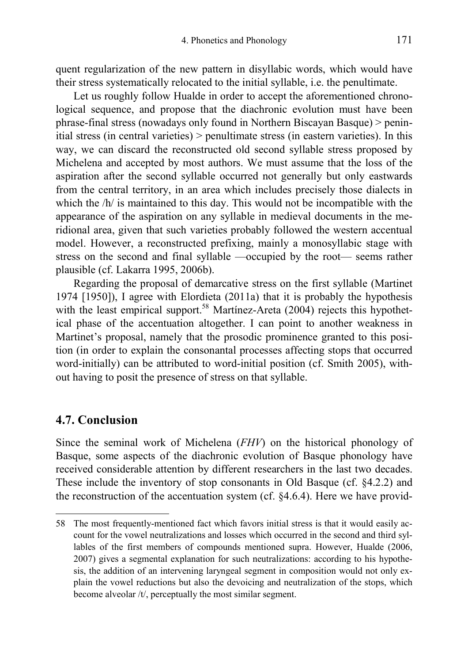quent regularization of the new pattern in disyllabic words, which would have their stress systematically relocated to the initial syllable, i.e. the penultimate.

Let us roughly follow Hualde in order to accept the aforementioned chronological sequence, and propose that the diachronic evolution must have been phrase-final stress (nowadays only found in Northern Biscayan Basque) > peninitial stress (in central varieties) > penultimate stress (in eastern varieties). In this way, we can discard the reconstructed old second syllable stress proposed by Michelena and accepted by most authors. We must assume that the loss of the aspiration after the second syllable occurred not generally but only eastwards from the central territory, in an area which includes precisely those dialects in which the /h/ is maintained to this day. This would not be incompatible with the appearance of the aspiration on any syllable in medieval documents in the meridional area, given that such varieties probably followed the western accentual model. However, a reconstructed prefixing, mainly a monosyllabic stage with stress on the second and final syllable —occupied by the root— seems rather plausible (cf. Lakarra 1995, 2006b).

Regarding the proposal of demarcative stress on the first syllable (Martinet 1974 [1950]), I agree with Elordieta (2011a) that it is probably the hypothesis with the least empirical support.<sup>58</sup> Martínez-Areta (2004) rejects this hypothetical phase of the accentuation altogether. I can point to another weakness in Martinet's proposal, namely that the prosodic prominence granted to this position (in order to explain the consonantal processes affecting stops that occurred word-initially) can be attributed to word-initial position (cf. Smith 2005), without having to posit the presence of stress on that syllable.

# **4.7. Conclusion**

 $\overline{a}$ 

Since the seminal work of Michelena (*FHV*) on the historical phonology of Basque, some aspects of the diachronic evolution of Basque phonology have received considerable attention by different researchers in the last two decades. These include the inventory of stop consonants in Old Basque (cf. §4.2.2) and the reconstruction of the accentuation system (cf. §4.6.4). Here we have provid-

<sup>58</sup> The most frequently-mentioned fact which favors initial stress is that it would easily account for the vowel neutralizations and losses which occurred in the second and third syllables of the first members of compounds mentioned supra. However, Hualde (2006, 2007) gives a segmental explanation for such neutralizations: according to his hypothesis, the addition of an intervening laryngeal segment in composition would not only explain the vowel reductions but also the devoicing and neutralization of the stops, which become alveolar /t/, perceptually the most similar segment.